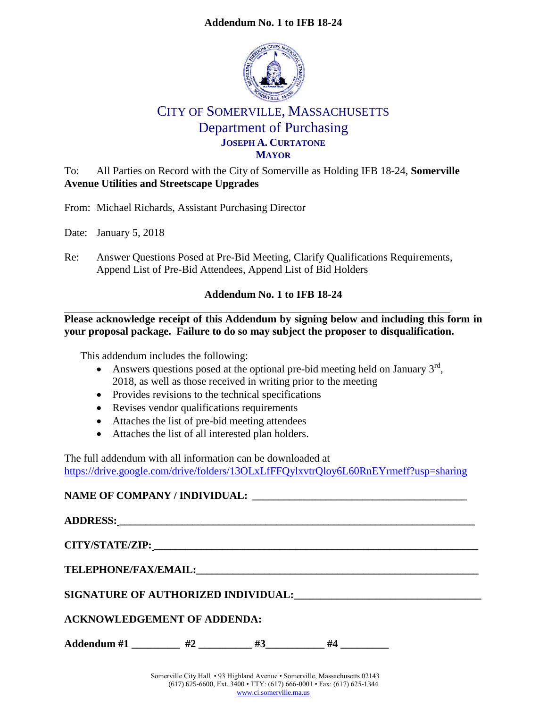# **Addendum No. 1 to IFB 18-24**



# CITY OF SOMERVILLE, MASSACHUSETTS Department of Purchasing **JOSEPH A. CURTATONE MAYOR**

To: All Parties on Record with the City of Somerville as Holding IFB 18-24, **Somerville Avenue Utilities and Streetscape Upgrades**

From: Michael Richards, Assistant Purchasing Director

Date: January 5, 2018

Re: Answer Questions Posed at Pre-Bid Meeting, Clarify Qualifications Requirements, Append List of Pre-Bid Attendees, Append List of Bid Holders

# **Addendum No. 1 to IFB 18-24**

# **Please acknowledge receipt of this Addendum by signing below and including this form in your proposal package. Failure to do so may subject the proposer to disqualification.**

This addendum includes the following:

- Answers questions posed at the optional pre-bid meeting held on January  $3<sup>rd</sup>$ , 2018, as well as those received in writing prior to the meeting
- Provides revisions to the technical specifications
- Revises vendor qualifications requirements
- Attaches the list of pre-bid meeting attendees
- Attaches the list of all interested plan holders.

The full addendum with all information can be downloaded at <https://drive.google.com/drive/folders/13OLxLfFFQylxvtrQloy6L60RnEYrmeff?usp=sharing>

# **NAME OF COMPANY / INDIVIDUAL: \_\_\_\_\_\_\_\_\_\_\_\_\_\_\_\_\_\_\_\_\_\_\_\_\_\_\_\_\_\_\_\_\_\_\_\_\_\_\_\_\_**

**ADDRESS: \_\_\_\_\_\_\_\_\_\_\_\_\_\_\_\_\_\_\_\_\_\_\_\_\_\_\_\_\_\_\_\_\_\_\_\_\_\_\_\_\_\_\_\_\_\_\_\_\_\_\_\_\_\_\_\_\_\_\_\_\_\_\_\_\_\_\_\_ CITY/STATE/ZIP: \_\_\_\_\_\_\_\_\_\_\_\_\_\_\_\_\_\_\_\_\_\_\_\_\_\_\_\_\_\_\_\_\_\_\_\_\_\_\_\_\_\_\_\_\_\_\_\_\_\_\_\_\_\_\_\_\_\_\_\_\_\_**  $\bf{TELEPHONE/FAX/EMAIL:}$ **SIGNATURE OF AUTHORIZED INDIVIDUAL:\_\_\_\_\_\_\_\_\_\_\_\_\_\_\_\_\_\_\_\_\_\_\_\_\_\_\_\_\_\_\_\_\_\_\_ ACKNOWLEDGEMENT OF ADDENDA:** Addendum #1 \_\_\_\_\_\_\_\_\_ #2 \_\_\_\_\_\_\_\_ #3\_\_\_\_\_\_\_\_\_ #4 \_\_\_\_\_\_\_\_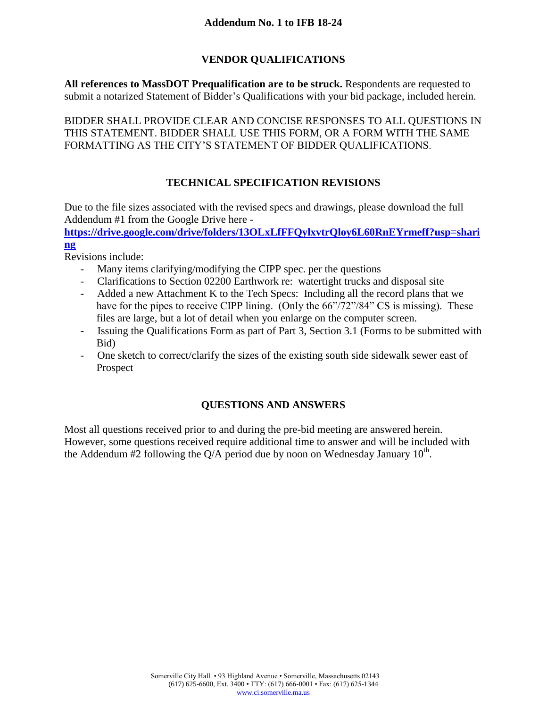# **VENDOR QUALIFICATIONS**

**All references to MassDOT Prequalification are to be struck.** Respondents are requested to submit a notarized Statement of Bidder's Qualifications with your bid package, included herein.

BIDDER SHALL PROVIDE CLEAR AND CONCISE RESPONSES TO ALL QUESTIONS IN THIS STATEMENT. BIDDER SHALL USE THIS FORM, OR A FORM WITH THE SAME FORMATTING AS THE CITY'S STATEMENT OF BIDDER QUALIFICATIONS.

# **TECHNICAL SPECIFICATION REVISIONS**

Due to the file sizes associated with the revised specs and drawings, please download the full Addendum #1 from the Google Drive here -

**[https://drive.google.com/drive/folders/13OLxLfFFQylxvtrQloy6L60RnEYrmeff?usp=shari](https://drive.google.com/drive/folders/13OLxLfFFQylxvtrQloy6L60RnEYrmeff?usp=sharing) [ng](https://drive.google.com/drive/folders/13OLxLfFFQylxvtrQloy6L60RnEYrmeff?usp=sharing)**

Revisions include:

- Many items clarifying/modifying the CIPP spec. per the questions
- Clarifications to Section 02200 Earthwork re: watertight trucks and disposal site
- Added a new Attachment K to the Tech Specs: Including all the record plans that we have for the pipes to receive CIPP lining. (Only the  $66\degree/72\degree/84\degree$  CS is missing). These files are large, but a lot of detail when you enlarge on the computer screen.
- Issuing the Qualifications Form as part of Part 3, Section 3.1 (Forms to be submitted with Bid)
- One sketch to correct/clarify the sizes of the existing south side sidewalk sewer east of Prospect

# **QUESTIONS AND ANSWERS**

Most all questions received prior to and during the pre-bid meeting are answered herein. However, some questions received require additional time to answer and will be included with the Addendum  $\#2$  following the Q/A period due by noon on Wednesday January 10<sup>th</sup>.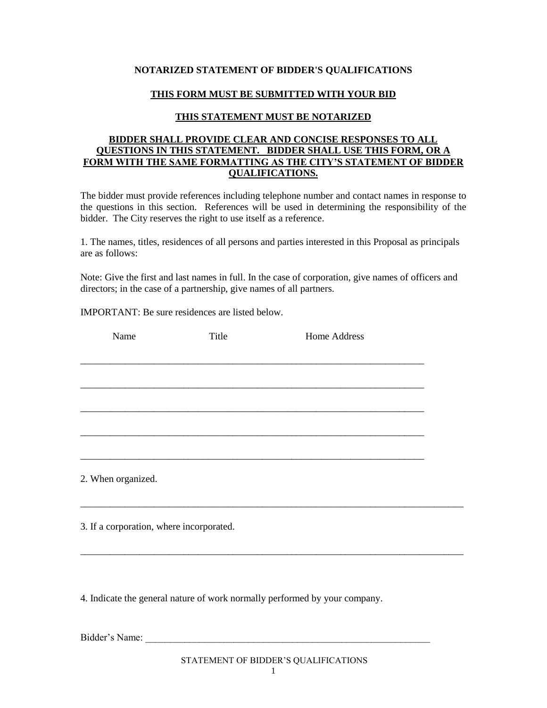#### **NOTARIZED STATEMENT OF BIDDER'S QUALIFICATIONS**

### **THIS FORM MUST BE SUBMITTED WITH YOUR BID**

#### **THIS STATEMENT MUST BE NOTARIZED**

#### **BIDDER SHALL PROVIDE CLEAR AND CONCISE RESPONSES TO ALL QUESTIONS IN THIS STATEMENT. BIDDER SHALL USE THIS FORM, OR A FORM WITH THE SAME FORMATTING AS THE CITY'S STATEMENT OF BIDDER QUALIFICATIONS.**

The bidder must provide references including telephone number and contact names in response to the questions in this section. References will be used in determining the responsibility of the bidder. The City reserves the right to use itself as a reference.

1. The names, titles, residences of all persons and parties interested in this Proposal as principals are as follows:

Note: Give the first and last names in full. In the case of corporation, give names of officers and directors; in the case of a partnership, give names of all partners.

IMPORTANT: Be sure residences are listed below.

| Name                                     | Title | Home Address |  |
|------------------------------------------|-------|--------------|--|
|                                          |       |              |  |
|                                          |       |              |  |
|                                          |       |              |  |
|                                          |       |              |  |
|                                          |       |              |  |
|                                          |       |              |  |
|                                          |       |              |  |
| 2. When organized.                       |       |              |  |
|                                          |       |              |  |
|                                          |       |              |  |
| 3. If a corporation, where incorporated. |       |              |  |

4. Indicate the general nature of work normally performed by your company.

Bidder's Name:

\_\_\_\_\_\_\_\_\_\_\_\_\_\_\_\_\_\_\_\_\_\_\_\_\_\_\_\_\_\_\_\_\_\_\_\_\_\_\_\_\_\_\_\_\_\_\_\_\_\_\_\_\_\_\_\_\_\_\_\_\_\_\_\_\_\_\_\_\_\_\_\_\_\_\_\_\_\_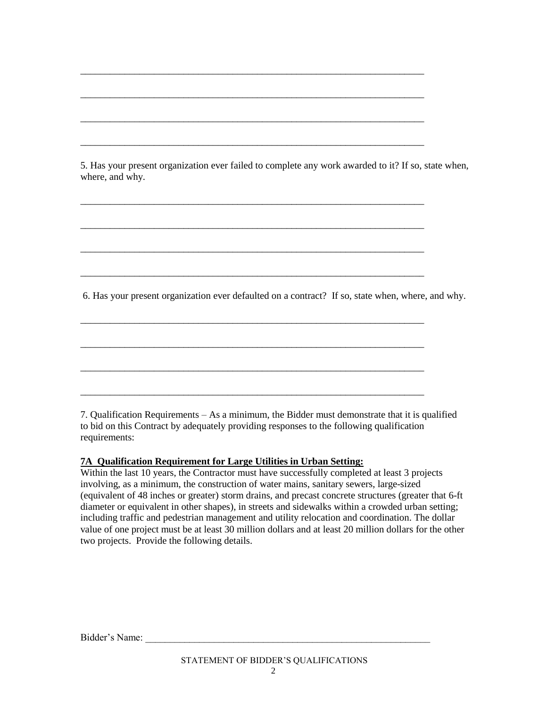5. Has your present organization ever failed to complete any work awarded to it? If so, state when, where, and why.

\_\_\_\_\_\_\_\_\_\_\_\_\_\_\_\_\_\_\_\_\_\_\_\_\_\_\_\_\_\_\_\_\_\_\_\_\_\_\_\_\_\_\_\_\_\_\_\_\_\_\_\_\_\_\_\_\_\_\_\_\_\_\_\_\_\_\_\_\_\_

\_\_\_\_\_\_\_\_\_\_\_\_\_\_\_\_\_\_\_\_\_\_\_\_\_\_\_\_\_\_\_\_\_\_\_\_\_\_\_\_\_\_\_\_\_\_\_\_\_\_\_\_\_\_\_\_\_\_\_\_\_\_\_\_\_\_\_\_\_\_

\_\_\_\_\_\_\_\_\_\_\_\_\_\_\_\_\_\_\_\_\_\_\_\_\_\_\_\_\_\_\_\_\_\_\_\_\_\_\_\_\_\_\_\_\_\_\_\_\_\_\_\_\_\_\_\_\_\_\_\_\_\_\_\_\_\_\_\_\_\_

\_\_\_\_\_\_\_\_\_\_\_\_\_\_\_\_\_\_\_\_\_\_\_\_\_\_\_\_\_\_\_\_\_\_\_\_\_\_\_\_\_\_\_\_\_\_\_\_\_\_\_\_\_\_\_\_\_\_\_\_\_\_\_\_\_\_\_\_\_\_

\_\_\_\_\_\_\_\_\_\_\_\_\_\_\_\_\_\_\_\_\_\_\_\_\_\_\_\_\_\_\_\_\_\_\_\_\_\_\_\_\_\_\_\_\_\_\_\_\_\_\_\_\_\_\_\_\_\_\_\_\_\_\_\_\_\_\_\_\_\_

\_\_\_\_\_\_\_\_\_\_\_\_\_\_\_\_\_\_\_\_\_\_\_\_\_\_\_\_\_\_\_\_\_\_\_\_\_\_\_\_\_\_\_\_\_\_\_\_\_\_\_\_\_\_\_\_\_\_\_\_\_\_\_\_\_\_\_\_\_\_

\_\_\_\_\_\_\_\_\_\_\_\_\_\_\_\_\_\_\_\_\_\_\_\_\_\_\_\_\_\_\_\_\_\_\_\_\_\_\_\_\_\_\_\_\_\_\_\_\_\_\_\_\_\_\_\_\_\_\_\_\_\_\_\_\_\_\_\_\_\_

\_\_\_\_\_\_\_\_\_\_\_\_\_\_\_\_\_\_\_\_\_\_\_\_\_\_\_\_\_\_\_\_\_\_\_\_\_\_\_\_\_\_\_\_\_\_\_\_\_\_\_\_\_\_\_\_\_\_\_\_\_\_\_\_\_\_\_\_\_\_

\_\_\_\_\_\_\_\_\_\_\_\_\_\_\_\_\_\_\_\_\_\_\_\_\_\_\_\_\_\_\_\_\_\_\_\_\_\_\_\_\_\_\_\_\_\_\_\_\_\_\_\_\_\_\_\_\_\_\_\_\_\_\_\_\_\_\_\_\_\_

\_\_\_\_\_\_\_\_\_\_\_\_\_\_\_\_\_\_\_\_\_\_\_\_\_\_\_\_\_\_\_\_\_\_\_\_\_\_\_\_\_\_\_\_\_\_\_\_\_\_\_\_\_\_\_\_\_\_\_\_\_\_\_\_\_\_\_\_\_\_

\_\_\_\_\_\_\_\_\_\_\_\_\_\_\_\_\_\_\_\_\_\_\_\_\_\_\_\_\_\_\_\_\_\_\_\_\_\_\_\_\_\_\_\_\_\_\_\_\_\_\_\_\_\_\_\_\_\_\_\_\_\_\_\_\_\_\_\_\_\_

\_\_\_\_\_\_\_\_\_\_\_\_\_\_\_\_\_\_\_\_\_\_\_\_\_\_\_\_\_\_\_\_\_\_\_\_\_\_\_\_\_\_\_\_\_\_\_\_\_\_\_\_\_\_\_\_\_\_\_\_\_\_\_\_\_\_\_\_\_\_

6. Has your present organization ever defaulted on a contract? If so, state when, where, and why.

7. Qualification Requirements – As a minimum, the Bidder must demonstrate that it is qualified to bid on this Contract by adequately providing responses to the following qualification requirements:

## **7A Qualification Requirement for Large Utilities in Urban Setting:**

Within the last 10 years, the Contractor must have successfully completed at least 3 projects involving, as a minimum, the construction of water mains, sanitary sewers, large-sized (equivalent of 48 inches or greater) storm drains, and precast concrete structures (greater that 6-ft diameter or equivalent in other shapes), in streets and sidewalks within a crowded urban setting; including traffic and pedestrian management and utility relocation and coordination. The dollar value of one project must be at least 30 million dollars and at least 20 million dollars for the other two projects. Provide the following details.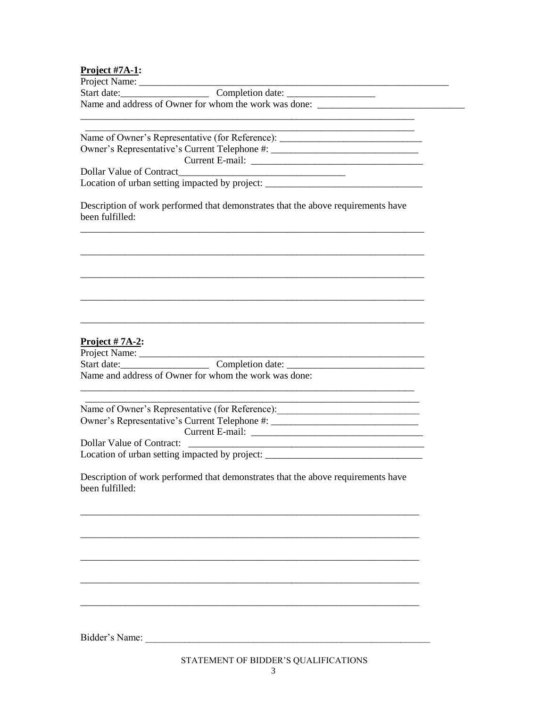| Project #7A-1: |  |  |  |
|----------------|--|--|--|
|                |  |  |  |

| Project Name: |                                                       |  |
|---------------|-------------------------------------------------------|--|
| Start date:   | Completion date:                                      |  |
|               | Name and address of Owner for whom the work was done: |  |

Name of Owner's Representative (for Reference): \_\_\_\_\_\_\_\_\_\_\_\_\_\_\_\_\_\_\_\_\_\_\_\_\_\_\_\_\_\_\_\_ Owner's Representative's Current Telephone #: <u>and the state of the state of the state of the state of the state of the state of the state of the state of the state of the state of the state of the state of the state of the state of the state of the state of the state</u> **Dollar Value of Contract** 

Location of urban setting impacted by project:

Description of work performed that demonstrates that the above requirements have been fulfilled:

### Project  $# 7A-2$ :

Start date: Completion date: Completion date: Name and address of Owner for whom the work was done:

Name of Owner's Representative (for Reference): Owner's Representative's Current Telephone #: **Dollar Value of Contract:** 

Location of urban setting impacted by project: \_\_\_\_\_\_\_\_\_\_\_\_\_\_\_\_\_\_\_\_\_\_\_\_\_\_\_\_\_\_\_\_\_\_

Description of work performed that demonstrates that the above requirements have been fulfilled: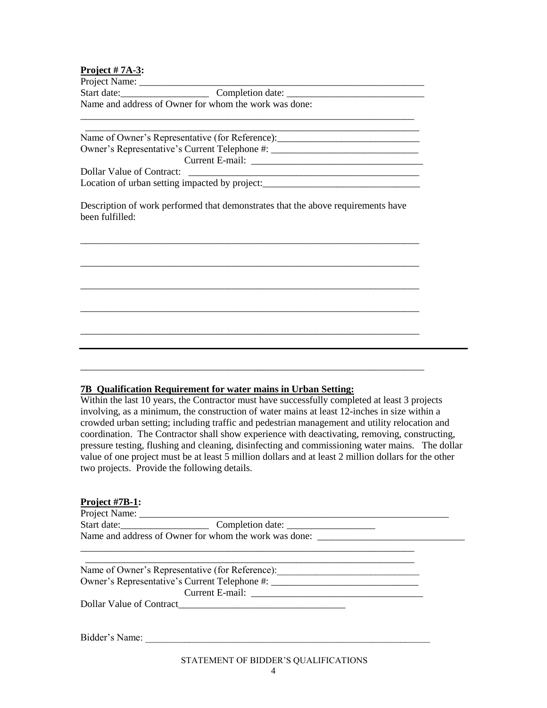#### **Project # 7A-3:**

| Project Name: |  |
|---------------|--|
|               |  |

Start date:\_\_\_\_\_\_\_\_\_\_\_\_\_\_\_\_\_\_ Completion date: \_\_\_\_\_\_\_\_\_\_\_\_\_\_\_\_\_\_\_\_\_\_\_\_\_\_\_\_ Name and address of Owner for whom the work was done:

 \_\_\_\_\_\_\_\_\_\_\_\_\_\_\_\_\_\_\_\_\_\_\_\_\_\_\_\_\_\_\_\_\_\_\_\_\_\_\_\_\_\_\_\_\_\_\_\_\_\_\_\_\_\_\_\_\_\_\_\_\_\_\_\_\_\_\_\_ Name of Owner's Representative (for Reference): Owner's Representative's Current Telephone #: \_\_\_\_\_\_\_\_\_\_\_\_\_\_\_\_\_\_\_\_\_\_\_\_\_\_\_\_\_\_\_\_\_\_ Current E-mail: \_\_\_\_\_\_\_\_\_\_\_\_\_\_\_\_\_\_\_\_\_\_\_\_\_\_\_\_\_\_\_\_\_\_\_ Dollar Value of Contract: Location of urban setting impacted by project:

\_\_\_\_\_\_\_\_\_\_\_\_\_\_\_\_\_\_\_\_\_\_\_\_\_\_\_\_\_\_\_\_\_\_\_\_\_\_\_\_\_\_\_\_\_\_\_\_\_\_\_\_\_\_\_\_\_\_\_\_\_\_\_\_\_\_\_\_

Description of work performed that demonstrates that the above requirements have been fulfilled:

\_\_\_\_\_\_\_\_\_\_\_\_\_\_\_\_\_\_\_\_\_\_\_\_\_\_\_\_\_\_\_\_\_\_\_\_\_\_\_\_\_\_\_\_\_\_\_\_\_\_\_\_\_\_\_\_\_\_\_\_\_\_\_\_\_\_\_\_\_

\_\_\_\_\_\_\_\_\_\_\_\_\_\_\_\_\_\_\_\_\_\_\_\_\_\_\_\_\_\_\_\_\_\_\_\_\_\_\_\_\_\_\_\_\_\_\_\_\_\_\_\_\_\_\_\_\_\_\_\_\_\_\_\_\_\_\_\_\_

\_\_\_\_\_\_\_\_\_\_\_\_\_\_\_\_\_\_\_\_\_\_\_\_\_\_\_\_\_\_\_\_\_\_\_\_\_\_\_\_\_\_\_\_\_\_\_\_\_\_\_\_\_\_\_\_\_\_\_\_\_\_\_\_\_\_\_\_\_

\_\_\_\_\_\_\_\_\_\_\_\_\_\_\_\_\_\_\_\_\_\_\_\_\_\_\_\_\_\_\_\_\_\_\_\_\_\_\_\_\_\_\_\_\_\_\_\_\_\_\_\_\_\_\_\_\_\_\_\_\_\_\_\_\_\_\_\_\_

\_\_\_\_\_\_\_\_\_\_\_\_\_\_\_\_\_\_\_\_\_\_\_\_\_\_\_\_\_\_\_\_\_\_\_\_\_\_\_\_\_\_\_\_\_\_\_\_\_\_\_\_\_\_\_\_\_\_\_\_\_\_\_\_\_\_\_\_\_

\_\_\_\_\_\_\_\_\_\_\_\_\_\_\_\_\_\_\_\_\_\_\_\_\_\_\_\_\_\_\_\_\_\_\_\_\_\_\_\_\_\_\_\_\_\_\_\_\_\_\_\_\_\_\_\_\_\_\_\_\_\_\_\_\_\_\_\_\_\_

#### **7B Qualification Requirement for water mains in Urban Setting:**

Within the last 10 years, the Contractor must have successfully completed at least 3 projects involving, as a minimum, the construction of water mains at least 12-inches in size within a crowded urban setting; including traffic and pedestrian management and utility relocation and coordination. The Contractor shall show experience with deactivating, removing, constructing, pressure testing, flushing and cleaning, disinfecting and commissioning water mains. The dollar value of one project must be at least 5 million dollars and at least 2 million dollars for the other two projects. Provide the following details.

#### **Project #7B-1:**

| Project N<br>Name: |  |
|--------------------|--|
|                    |  |

| Start date: | Completion date:                                      |  |
|-------------|-------------------------------------------------------|--|
|             | Name and address of Owner for whom the work was done: |  |

 \_\_\_\_\_\_\_\_\_\_\_\_\_\_\_\_\_\_\_\_\_\_\_\_\_\_\_\_\_\_\_\_\_\_\_\_\_\_\_\_\_\_\_\_\_\_\_\_\_\_\_\_\_\_\_\_\_\_\_\_\_\_\_\_\_\_\_ Name of Owner's Representative (for Reference): \_\_\_\_\_\_\_\_\_\_\_\_\_\_\_\_\_\_\_\_\_\_\_\_\_\_\_\_\_\_\_\_ Owner's Representative's Current Telephone #: \_\_\_\_\_\_\_\_\_\_\_\_\_\_\_\_\_\_\_\_\_\_\_\_\_\_\_\_\_\_\_\_\_\_ Current E-mail: \_\_\_\_\_\_\_\_\_\_\_\_\_\_\_\_\_\_\_\_\_\_\_\_\_\_\_\_\_\_\_\_\_\_\_

\_\_\_\_\_\_\_\_\_\_\_\_\_\_\_\_\_\_\_\_\_\_\_\_\_\_\_\_\_\_\_\_\_\_\_\_\_\_\_\_\_\_\_\_\_\_\_\_\_\_\_\_\_\_\_\_\_\_\_\_\_\_\_\_\_\_\_\_

Dollar Value of Contract\_\_\_\_\_\_\_\_\_\_\_\_\_\_\_\_\_\_\_\_\_\_\_\_\_\_\_\_\_\_\_\_\_\_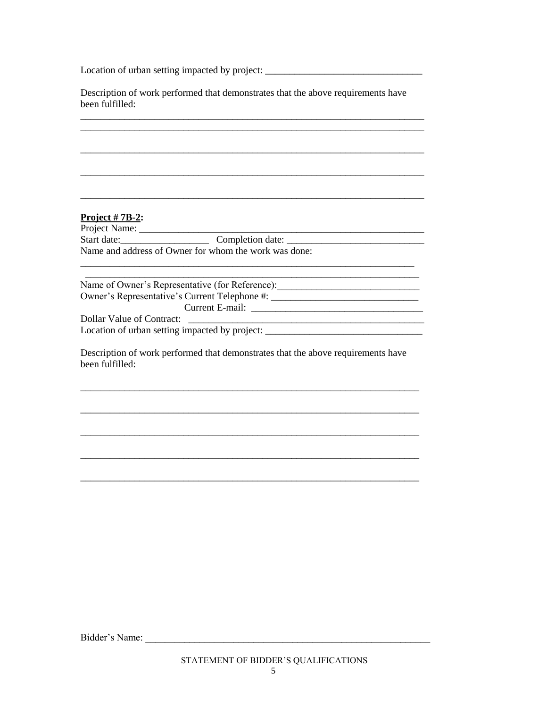Location of urban setting impacted by project:

Description of work performed that demonstrates that the above requirements have been fulfilled:

## Project  $# 7B-2$ :

| Project Name:                                         |                  |
|-------------------------------------------------------|------------------|
| Start date:                                           | Completion date: |
| Name and address of Owner for whom the work was done: |                  |

Name of Owner's Representative (for Reference): \_\_\_\_\_\_\_\_\_\_\_\_\_\_\_\_\_\_\_\_\_\_\_\_\_\_\_\_\_\_\_\_\_ Owner's Representative's Current Telephone #: Dollar Value of Contract: Location of urban setting impacted by project: \_\_\_\_\_\_\_\_\_\_\_\_\_\_\_\_\_\_\_\_\_\_\_\_\_\_\_\_\_\_\_\_\_\_

Description of work performed that demonstrates that the above requirements have been fulfilled: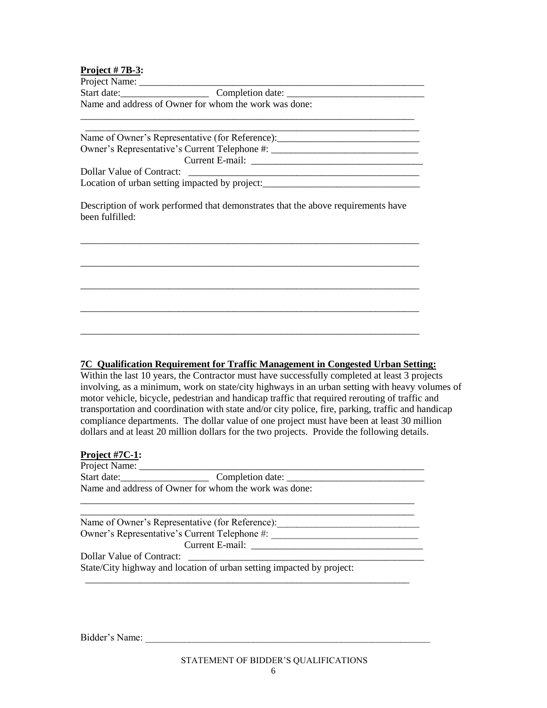## **Project # 7B-3:**

Project Name: Start date:\_\_\_\_\_\_\_\_\_\_\_\_\_\_\_\_\_\_ Completion date: \_\_\_\_\_\_\_\_\_\_\_\_\_\_\_\_\_\_\_\_\_\_\_\_\_\_\_\_ Name and address of Owner for whom the work was done:

\_\_\_\_\_\_\_\_\_\_\_\_\_\_\_\_\_\_\_\_\_\_\_\_\_\_\_\_\_\_\_\_\_\_\_\_\_\_\_\_\_\_\_\_\_\_\_\_\_\_\_\_\_\_\_\_\_\_\_\_\_\_\_\_\_\_\_\_

 \_\_\_\_\_\_\_\_\_\_\_\_\_\_\_\_\_\_\_\_\_\_\_\_\_\_\_\_\_\_\_\_\_\_\_\_\_\_\_\_\_\_\_\_\_\_\_\_\_\_\_\_\_\_\_\_\_\_\_\_\_\_\_\_\_\_\_\_ Name of Owner's Representative (for Reference): Owner's Representative's Current Telephone #: \_\_\_\_\_\_\_\_\_\_\_\_\_\_\_\_\_\_\_\_\_\_\_\_\_\_\_\_\_\_\_\_\_\_ Current E-mail: \_\_\_\_\_\_\_\_\_\_\_\_\_\_\_\_\_\_\_\_\_\_\_\_\_\_\_\_\_\_\_\_\_\_\_ Dollar Value of Contract: Location of urban setting impacted by project:

Description of work performed that demonstrates that the above requirements have been fulfilled:

\_\_\_\_\_\_\_\_\_\_\_\_\_\_\_\_\_\_\_\_\_\_\_\_\_\_\_\_\_\_\_\_\_\_\_\_\_\_\_\_\_\_\_\_\_\_\_\_\_\_\_\_\_\_\_\_\_\_\_\_\_\_\_\_\_\_\_\_\_

\_\_\_\_\_\_\_\_\_\_\_\_\_\_\_\_\_\_\_\_\_\_\_\_\_\_\_\_\_\_\_\_\_\_\_\_\_\_\_\_\_\_\_\_\_\_\_\_\_\_\_\_\_\_\_\_\_\_\_\_\_\_\_\_\_\_\_\_\_

\_\_\_\_\_\_\_\_\_\_\_\_\_\_\_\_\_\_\_\_\_\_\_\_\_\_\_\_\_\_\_\_\_\_\_\_\_\_\_\_\_\_\_\_\_\_\_\_\_\_\_\_\_\_\_\_\_\_\_\_\_\_\_\_\_\_\_\_\_

\_\_\_\_\_\_\_\_\_\_\_\_\_\_\_\_\_\_\_\_\_\_\_\_\_\_\_\_\_\_\_\_\_\_\_\_\_\_\_\_\_\_\_\_\_\_\_\_\_\_\_\_\_\_\_\_\_\_\_\_\_\_\_\_\_\_\_\_\_

\_\_\_\_\_\_\_\_\_\_\_\_\_\_\_\_\_\_\_\_\_\_\_\_\_\_\_\_\_\_\_\_\_\_\_\_\_\_\_\_\_\_\_\_\_\_\_\_\_\_\_\_\_\_\_\_\_\_\_\_\_\_\_\_\_\_\_\_\_

#### **7C Qualification Requirement for Traffic Management in Congested Urban Setting:**

Within the last 10 years, the Contractor must have successfully completed at least 3 projects involving, as a minimum, work on state/city highways in an urban setting with heavy volumes of motor vehicle, bicycle, pedestrian and handicap traffic that required rerouting of traffic and transportation and coordination with state and/or city police, fire, parking, traffic and handicap compliance departments. The dollar value of one project must have been at least 30 million dollars and at least 20 million dollars for the two projects. Provide the following details.

#### **Project #7C-1:**

| Project Name:             |                                                                                  |  |
|---------------------------|----------------------------------------------------------------------------------|--|
| Start date:               | Completion date:                                                                 |  |
|                           | Name and address of Owner for whom the work was done:                            |  |
|                           |                                                                                  |  |
|                           | Name of Owner's Representative (for Reference):                                  |  |
|                           | Owner's Representative's Current Telephone #: __________________________________ |  |
|                           |                                                                                  |  |
| Dollar Value of Contract: |                                                                                  |  |
|                           | State/City highway and location of urban setting impacted by project:            |  |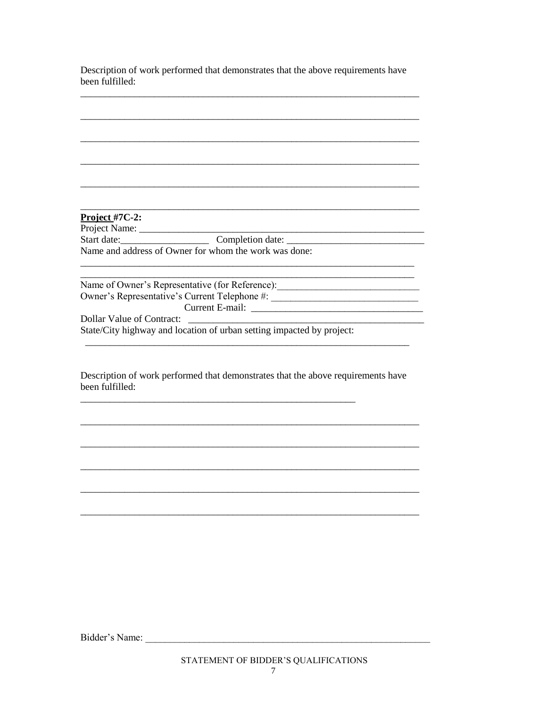Description of work performed that demonstrates that the above requirements have been fulfilled:

| Project $#7C-2$ :         |                                                                                   |
|---------------------------|-----------------------------------------------------------------------------------|
|                           |                                                                                   |
|                           |                                                                                   |
|                           | Name and address of Owner for whom the work was done:                             |
|                           | Name of Owner's Representative (for Reference): _________________________________ |
|                           | Owner's Representative's Current Telephone #: __________________________________  |
|                           |                                                                                   |
| Dollar Value of Contract: |                                                                                   |
|                           | State/City highway and location of urban setting impacted by project:             |
|                           |                                                                                   |
|                           |                                                                                   |
|                           | Description of work performed that demonstrates that the above requirements have  |
| been fulfilled:           |                                                                                   |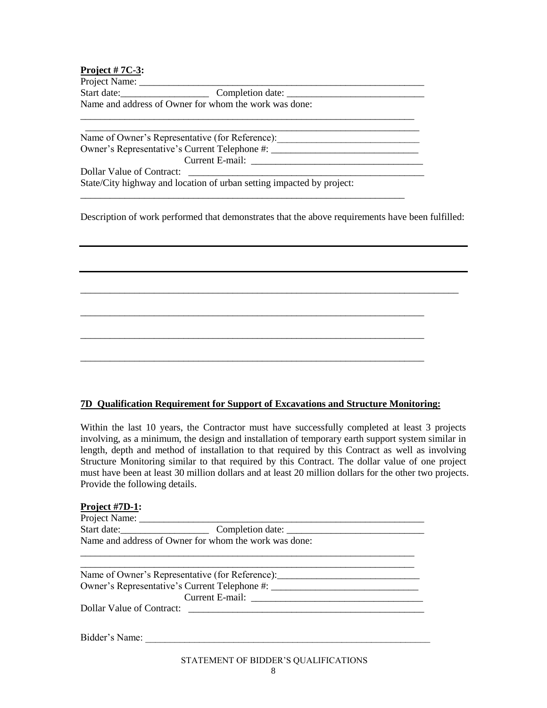## **Project # 7C-3:**

Project Name:

Start date:\_\_\_\_\_\_\_\_\_\_\_\_\_\_\_\_\_\_ Completion date: \_\_\_\_\_\_\_\_\_\_\_\_\_\_\_\_\_\_\_\_\_\_\_\_\_\_\_\_ Name and address of Owner for whom the work was done:

 \_\_\_\_\_\_\_\_\_\_\_\_\_\_\_\_\_\_\_\_\_\_\_\_\_\_\_\_\_\_\_\_\_\_\_\_\_\_\_\_\_\_\_\_\_\_\_\_\_\_\_\_\_\_\_\_\_\_\_\_\_\_\_\_\_\_\_\_ Name of Owner's Representative (for Reference): Owner's Representative's Current Telephone #: \_\_\_\_\_\_\_\_\_\_\_\_\_\_\_\_\_\_\_\_\_\_\_\_\_\_\_\_\_\_\_\_\_\_ Current E-mail: \_\_\_\_\_\_\_\_\_\_\_\_\_\_\_\_\_\_\_\_\_\_\_\_\_\_\_\_\_\_\_\_\_\_\_ Dollar Value of Contract: State/City highway and location of urban setting impacted by project:

\_\_\_\_\_\_\_\_\_\_\_\_\_\_\_\_\_\_\_\_\_\_\_\_\_\_\_\_\_\_\_\_\_\_\_\_\_\_\_\_\_\_\_\_\_\_\_\_\_\_\_\_\_\_\_\_\_\_\_\_\_\_\_\_\_\_

\_\_\_\_\_\_\_\_\_\_\_\_\_\_\_\_\_\_\_\_\_\_\_\_\_\_\_\_\_\_\_\_\_\_\_\_\_\_\_\_\_\_\_\_\_\_\_\_\_\_\_\_\_\_\_\_\_\_\_\_\_\_\_\_\_\_\_\_

Description of work performed that demonstrates that the above requirements have been fulfilled:

\_\_\_\_\_\_\_\_\_\_\_\_\_\_\_\_\_\_\_\_\_\_\_\_\_\_\_\_\_\_\_\_\_\_\_\_\_\_\_\_\_\_\_\_\_\_\_\_\_\_\_\_\_\_\_\_\_\_\_\_\_\_\_\_\_\_\_\_\_\_\_\_\_\_\_\_\_

\_\_\_\_\_\_\_\_\_\_\_\_\_\_\_\_\_\_\_\_\_\_\_\_\_\_\_\_\_\_\_\_\_\_\_\_\_\_\_\_\_\_\_\_\_\_\_\_\_\_\_\_\_\_\_\_\_\_\_\_\_\_\_\_\_\_\_\_\_\_

\_\_\_\_\_\_\_\_\_\_\_\_\_\_\_\_\_\_\_\_\_\_\_\_\_\_\_\_\_\_\_\_\_\_\_\_\_\_\_\_\_\_\_\_\_\_\_\_\_\_\_\_\_\_\_\_\_\_\_\_\_\_\_\_\_\_\_\_\_\_

\_\_\_\_\_\_\_\_\_\_\_\_\_\_\_\_\_\_\_\_\_\_\_\_\_\_\_\_\_\_\_\_\_\_\_\_\_\_\_\_\_\_\_\_\_\_\_\_\_\_\_\_\_\_\_\_\_\_\_\_\_\_\_\_\_\_\_\_\_\_

## **7D Qualification Requirement for Support of Excavations and Structure Monitoring:**

Within the last 10 years, the Contractor must have successfully completed at least 3 projects involving, as a minimum, the design and installation of temporary earth support system similar in length, depth and method of installation to that required by this Contract as well as involving Structure Monitoring similar to that required by this Contract. The dollar value of one project must have been at least 30 million dollars and at least 20 million dollars for the other two projects. Provide the following details.

| Project #7D-1: |                                                       |  |
|----------------|-------------------------------------------------------|--|
| Project Name:  |                                                       |  |
| Start date:    | Completion date:                                      |  |
|                | Name and address of Owner for whom the work was done: |  |
|                |                                                       |  |

| Name of Owner's Representative (for Reference):  |
|--------------------------------------------------|
| Owner's Representative's Current Telephone #: __ |
| Current E-mail:                                  |
| Dollar Value of Contract:                        |
|                                                  |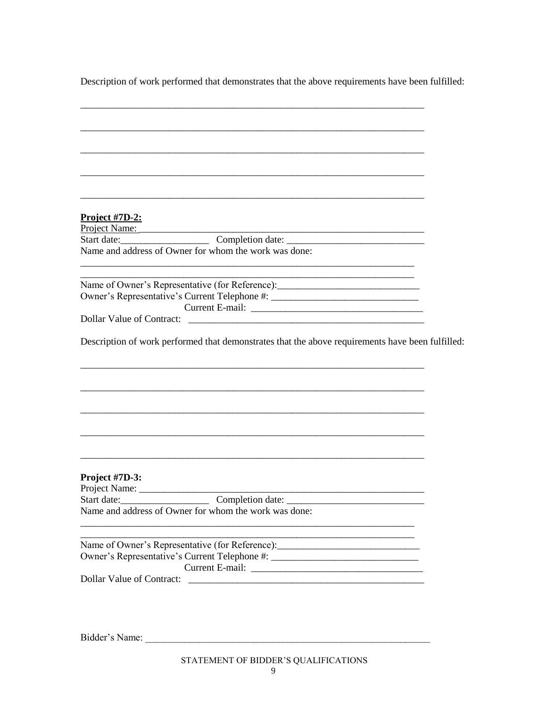Description of work performed that demonstrates that the above requirements have been fulfilled:

| Project $#7D-2$ :                                                                                                                                                                                           |  |
|-------------------------------------------------------------------------------------------------------------------------------------------------------------------------------------------------------------|--|
| Project Name:                                                                                                                                                                                               |  |
|                                                                                                                                                                                                             |  |
| Name and address of Owner for whom the work was done:<br><u> 1989 - Johann Barbara, martxa alemaniar argumentuar argumentuar argumentuar argumentuar argumentuar argumentu</u>                              |  |
| <u> 1980 - Johann Stoff, die Stadt auf der Stoffen und der Stoffen und der Stoffen und der Stoffen und der Stoffen</u><br>Name of Owner's Representative (for Reference): _________________________________ |  |
| Owner's Representative's Current Telephone #: __________________________________                                                                                                                            |  |
|                                                                                                                                                                                                             |  |
| Dollar Value of Contract:                                                                                                                                                                                   |  |
| Description of work performed that demonstrates that the above requirements have been fulfilled:                                                                                                            |  |
|                                                                                                                                                                                                             |  |
|                                                                                                                                                                                                             |  |
|                                                                                                                                                                                                             |  |
|                                                                                                                                                                                                             |  |
|                                                                                                                                                                                                             |  |
| Project #7D-3:                                                                                                                                                                                              |  |
|                                                                                                                                                                                                             |  |
| Name and address of Owner for whom the work was done:                                                                                                                                                       |  |
|                                                                                                                                                                                                             |  |
| Name of Owner's Representative (for Reference): _________________________________                                                                                                                           |  |
| Owner's Representative's Current Telephone #: __________________________________                                                                                                                            |  |
|                                                                                                                                                                                                             |  |
| Dollar Value of Contract:                                                                                                                                                                                   |  |
|                                                                                                                                                                                                             |  |
|                                                                                                                                                                                                             |  |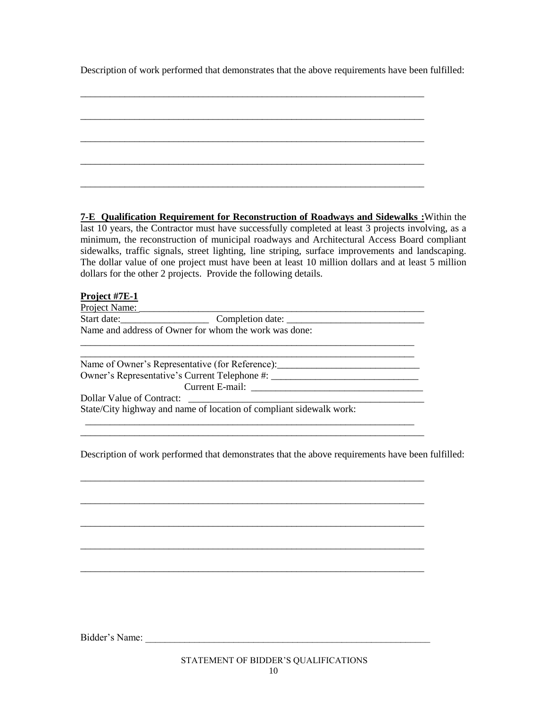Description of work performed that demonstrates that the above requirements have been fulfilled:

**7-E Qualification Requirement for Reconstruction of Roadways and Sidewalks :**Within the last 10 years, the Contractor must have successfully completed at least 3 projects involving, as a minimum, the reconstruction of municipal roadways and Architectural Access Board compliant sidewalks, traffic signals, street lighting, line striping, surface improvements and landscaping. The dollar value of one project must have been at least 10 million dollars and at least 5 million dollars for the other 2 projects. Provide the following details.

### **Project #7E-1**

Project Name: Start date:\_\_\_\_\_\_\_\_\_\_\_\_\_\_\_\_\_\_ Completion date: \_\_\_\_\_\_\_\_\_\_\_\_\_\_\_\_\_\_\_\_\_\_\_\_\_\_\_\_ Name and address of Owner for whom the work was done: \_\_\_\_\_\_\_\_\_\_\_\_\_\_\_\_\_\_\_\_\_\_\_\_\_\_\_\_\_\_\_\_\_\_\_\_\_\_\_\_\_\_\_\_\_\_\_\_\_\_\_\_\_\_\_\_\_\_\_\_\_\_\_\_\_\_\_\_

Name of Owner's Representative (for Reference): Owner's Representative's Current Telephone #: \_\_\_\_\_\_\_\_\_\_\_\_\_\_\_\_\_\_\_\_\_\_\_\_\_\_\_\_\_\_\_\_\_\_ Current E-mail: \_\_\_\_\_\_\_\_\_\_\_\_\_\_\_\_\_\_\_\_\_\_\_\_\_\_\_\_\_\_\_\_\_\_\_ Dollar Value of Contract:

 \_\_\_\_\_\_\_\_\_\_\_\_\_\_\_\_\_\_\_\_\_\_\_\_\_\_\_\_\_\_\_\_\_\_\_\_\_\_\_\_\_\_\_\_\_\_\_\_\_\_\_\_\_\_\_\_\_\_\_\_\_\_\_\_\_\_\_ \_\_\_\_\_\_\_\_\_\_\_\_\_\_\_\_\_\_\_\_\_\_\_\_\_\_\_\_\_\_\_\_\_\_\_\_\_\_\_\_\_\_\_\_\_\_\_\_\_\_\_\_\_\_\_\_\_\_\_\_\_\_\_\_\_\_\_\_\_\_

\_\_\_\_\_\_\_\_\_\_\_\_\_\_\_\_\_\_\_\_\_\_\_\_\_\_\_\_\_\_\_\_\_\_\_\_\_\_\_\_\_\_\_\_\_\_\_\_\_\_\_\_\_\_\_\_\_\_\_\_\_\_\_\_\_\_\_\_\_\_

\_\_\_\_\_\_\_\_\_\_\_\_\_\_\_\_\_\_\_\_\_\_\_\_\_\_\_\_\_\_\_\_\_\_\_\_\_\_\_\_\_\_\_\_\_\_\_\_\_\_\_\_\_\_\_\_\_\_\_\_\_\_\_\_\_\_\_\_\_\_

\_\_\_\_\_\_\_\_\_\_\_\_\_\_\_\_\_\_\_\_\_\_\_\_\_\_\_\_\_\_\_\_\_\_\_\_\_\_\_\_\_\_\_\_\_\_\_\_\_\_\_\_\_\_\_\_\_\_\_\_\_\_\_\_\_\_\_\_\_\_

\_\_\_\_\_\_\_\_\_\_\_\_\_\_\_\_\_\_\_\_\_\_\_\_\_\_\_\_\_\_\_\_\_\_\_\_\_\_\_\_\_\_\_\_\_\_\_\_\_\_\_\_\_\_\_\_\_\_\_\_\_\_\_\_\_\_\_\_\_\_

\_\_\_\_\_\_\_\_\_\_\_\_\_\_\_\_\_\_\_\_\_\_\_\_\_\_\_\_\_\_\_\_\_\_\_\_\_\_\_\_\_\_\_\_\_\_\_\_\_\_\_\_\_\_\_\_\_\_\_\_\_\_\_\_\_\_\_\_\_\_

State/City highway and name of location of compliant sidewalk work:

Description of work performed that demonstrates that the above requirements have been fulfilled: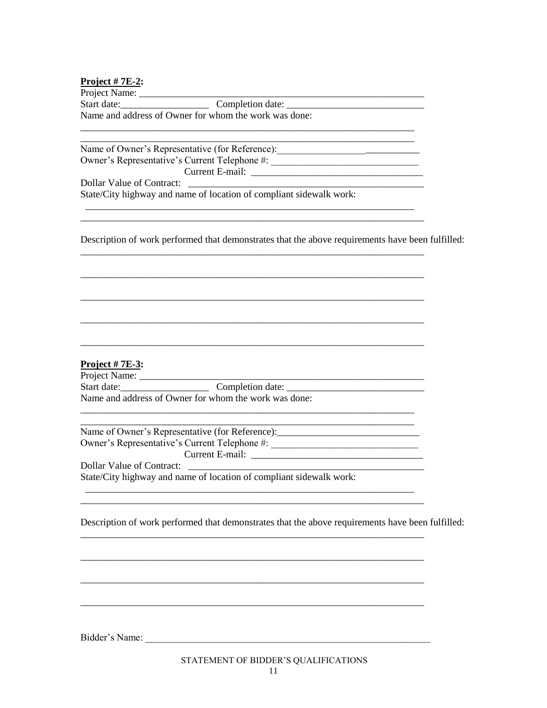#### Project  $# 7E-2$ :

Name and address of Owner for whom the work was done:

Owner's Representative's Current Telephone #: \_\_\_\_\_\_\_\_\_\_\_\_\_\_\_\_\_\_\_\_\_\_\_\_\_\_\_\_\_\_\_\_\_\_ **Dollar Value of Contract:** 

State/City highway and name of location of compliant sidewalk work:

Description of work performed that demonstrates that the above requirements have been fulfilled:

## Project  $# 7E-3$ :

Name of Owner's Representative (for Reference): \_\_\_\_\_\_\_\_\_\_\_\_\_\_\_\_\_\_\_\_\_\_\_\_\_\_\_\_\_\_\_\_ Dollar Value of Contract: State/City highway and name of location of compliant sidewalk work:

Description of work performed that demonstrates that the above requirements have been fulfilled: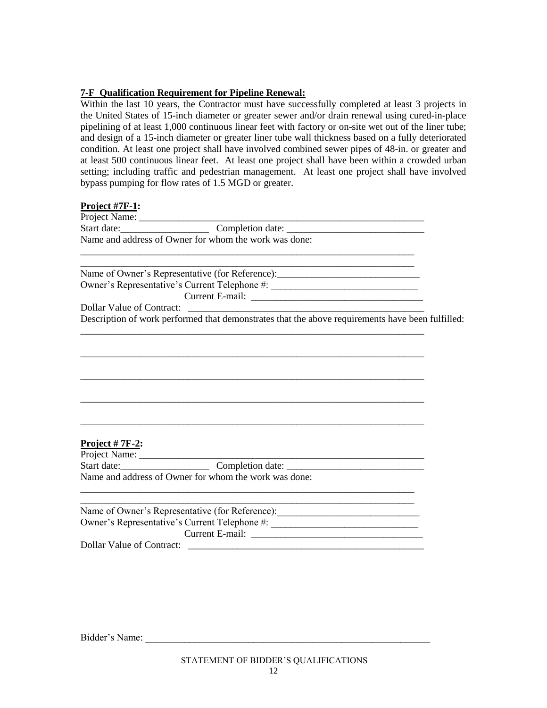### **7-F Qualification Requirement for Pipeline Renewal:**

Within the last 10 years, the Contractor must have successfully completed at least 3 projects in the United States of 15-inch diameter or greater sewer and/or drain renewal using cured-in-place pipelining of at least 1,000 continuous linear feet with factory or on-site wet out of the liner tube; and design of a 15-inch diameter or greater liner tube wall thickness based on a fully deteriorated condition. At least one project shall have involved combined sewer pipes of 48-in. or greater and at least 500 continuous linear feet. At least one project shall have been within a crowded urban setting; including traffic and pedestrian management. At least one project shall have involved bypass pumping for flow rates of 1.5 MGD or greater.

#### **Project #7F-1:**

Project Name: \_\_\_\_\_\_\_\_\_\_\_\_\_\_\_\_\_\_\_\_\_\_\_\_\_\_\_\_\_\_\_\_\_\_\_\_\_\_\_\_\_\_\_\_\_\_\_\_\_\_\_\_\_\_\_\_\_\_ Start date:\_\_\_\_\_\_\_\_\_\_\_\_\_\_\_\_\_\_ Completion date: \_\_\_\_\_\_\_\_\_\_\_\_\_\_\_\_\_\_\_\_\_\_\_\_\_\_\_\_ Name and address of Owner for whom the work was done: \_\_\_\_\_\_\_\_\_\_\_\_\_\_\_\_\_\_\_\_\_\_\_\_\_\_\_\_\_\_\_\_\_\_\_\_\_\_\_\_\_\_\_\_\_\_\_\_\_\_\_\_\_\_\_\_\_\_\_\_\_\_\_\_\_\_\_\_ \_\_\_\_\_\_\_\_\_\_\_\_\_\_\_\_\_\_\_\_\_\_\_\_\_\_\_\_\_\_\_\_\_\_\_\_\_\_\_\_\_\_\_\_\_\_\_\_\_\_\_\_\_\_\_\_\_\_\_\_\_\_\_\_\_\_\_\_

Name of Owner's Representative (for Reference): \_\_\_\_\_\_\_\_\_\_\_\_\_\_\_\_\_\_\_\_\_\_\_\_\_\_\_\_\_\_\_\_ Owner's Representative's Current Telephone #: \_\_\_\_\_\_\_\_\_\_\_\_\_\_\_\_\_\_\_\_\_\_\_\_\_\_\_\_\_\_\_\_\_\_ Current E-mail: \_\_\_\_\_\_\_\_\_\_\_\_\_\_\_\_\_\_\_\_\_\_\_\_\_\_\_\_\_\_\_\_\_\_\_

\_\_\_\_\_\_\_\_\_\_\_\_\_\_\_\_\_\_\_\_\_\_\_\_\_\_\_\_\_\_\_\_\_\_\_\_\_\_\_\_\_\_\_\_\_\_\_\_\_\_\_\_\_\_\_\_\_\_\_\_\_\_\_\_\_\_\_\_\_\_

\_\_\_\_\_\_\_\_\_\_\_\_\_\_\_\_\_\_\_\_\_\_\_\_\_\_\_\_\_\_\_\_\_\_\_\_\_\_\_\_\_\_\_\_\_\_\_\_\_\_\_\_\_\_\_\_\_\_\_\_\_\_\_\_\_\_\_\_\_\_

\_\_\_\_\_\_\_\_\_\_\_\_\_\_\_\_\_\_\_\_\_\_\_\_\_\_\_\_\_\_\_\_\_\_\_\_\_\_\_\_\_\_\_\_\_\_\_\_\_\_\_\_\_\_\_\_\_\_\_\_\_\_\_\_\_\_\_\_\_\_

\_\_\_\_\_\_\_\_\_\_\_\_\_\_\_\_\_\_\_\_\_\_\_\_\_\_\_\_\_\_\_\_\_\_\_\_\_\_\_\_\_\_\_\_\_\_\_\_\_\_\_\_\_\_\_\_\_\_\_\_\_\_\_\_\_\_\_\_\_\_

\_\_\_\_\_\_\_\_\_\_\_\_\_\_\_\_\_\_\_\_\_\_\_\_\_\_\_\_\_\_\_\_\_\_\_\_\_\_\_\_\_\_\_\_\_\_\_\_\_\_\_\_\_\_\_\_\_\_\_\_\_\_\_\_\_\_\_\_\_\_

Dollar Value of Contract: Description of work performed that demonstrates that the above requirements have been fulfilled:

## **Project # 7F-2:**

Project Name: \_\_\_\_\_\_\_\_\_\_\_\_\_\_\_\_\_\_\_\_\_\_\_\_\_\_\_\_\_\_\_\_\_\_\_\_\_\_\_\_\_\_\_\_\_\_\_\_\_\_\_\_\_\_\_\_\_\_ Start date:\_\_\_\_\_\_\_\_\_\_\_\_\_\_\_\_\_\_ Completion date: \_\_\_\_\_\_\_\_\_\_\_\_\_\_\_\_\_\_\_\_\_\_\_\_\_\_\_\_ Name and address of Owner for whom the work was done: \_\_\_\_\_\_\_\_\_\_\_\_\_\_\_\_\_\_\_\_\_\_\_\_\_\_\_\_\_\_\_\_\_\_\_\_\_\_\_\_\_\_\_\_\_\_\_\_\_\_\_\_\_\_\_\_\_\_\_\_\_\_\_\_\_\_\_\_

| Name of Owner's Representative (for Reference): |  |
|-------------------------------------------------|--|
| Owner's Representative's Current Telephone #:   |  |
| Current E-mail:                                 |  |
| Dollar Value of Contract:                       |  |

Bidder's Name: \_\_\_\_\_\_\_\_\_\_\_\_\_\_\_\_\_\_\_\_\_\_\_\_\_\_\_\_\_\_\_\_\_\_\_\_\_\_\_\_\_\_\_\_\_\_\_\_\_\_\_\_\_\_\_\_\_\_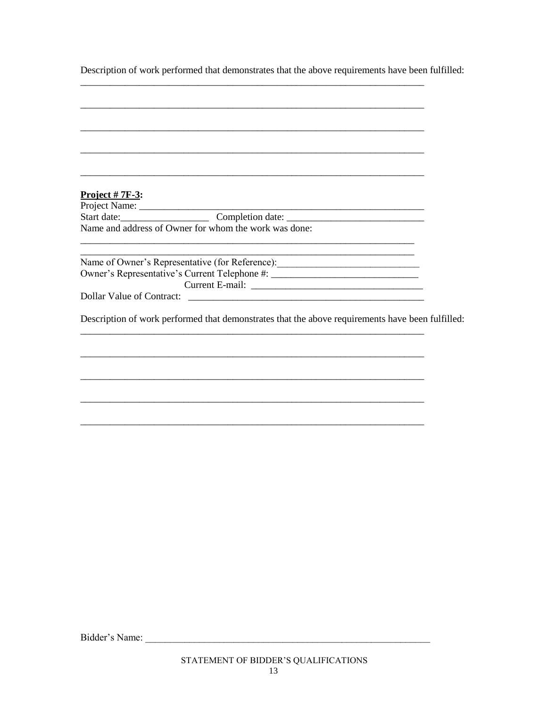Description of work performed that demonstrates that the above requirements have been fulfilled:

| Project $# 7F-3$ :                                                                               |  |
|--------------------------------------------------------------------------------------------------|--|
|                                                                                                  |  |
|                                                                                                  |  |
| Name and address of Owner for whom the work was done:                                            |  |
|                                                                                                  |  |
|                                                                                                  |  |
| Name of Owner's Representative (for Reference): ________________________________                 |  |
| Owner's Representative's Current Telephone #: __________________________________                 |  |
|                                                                                                  |  |
|                                                                                                  |  |
|                                                                                                  |  |
| Description of work performed that demonstrates that the above requirements have been fulfilled: |  |
|                                                                                                  |  |
|                                                                                                  |  |
|                                                                                                  |  |
|                                                                                                  |  |
|                                                                                                  |  |
|                                                                                                  |  |
|                                                                                                  |  |
|                                                                                                  |  |
|                                                                                                  |  |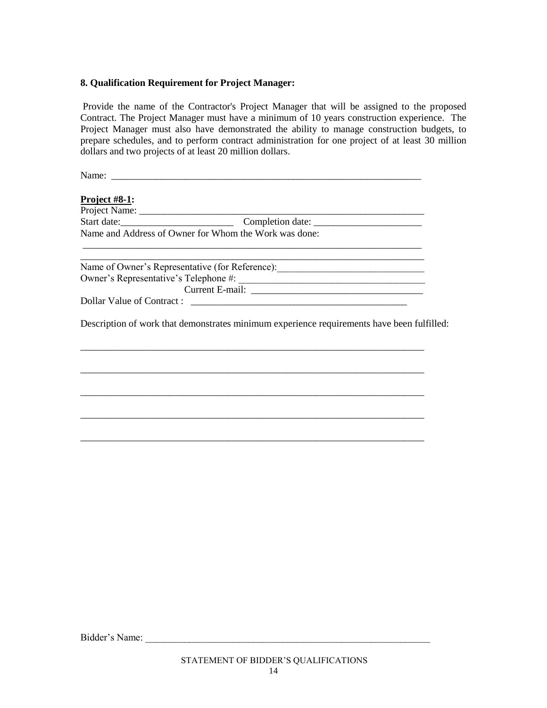#### **8. Qualification Requirement for Project Manager:**

Provide the name of the Contractor's Project Manager that will be assigned to the proposed Contract. The Project Manager must have a minimum of 10 years construction experience. The Project Manager must also have demonstrated the ability to manage construction budgets, to prepare schedules, and to perform contract administration for one project of at least 30 million dollars and two projects of at least 20 million dollars.

Name: **Project #8-1:** Project Name: \_\_\_\_\_\_\_\_\_\_\_\_\_\_\_\_\_\_\_\_\_\_\_\_\_\_\_\_\_\_\_\_\_\_\_\_\_\_\_\_\_\_\_\_\_\_\_\_\_\_\_\_\_\_\_\_\_\_ Start date:\_\_\_\_\_\_\_\_\_\_\_\_\_\_\_\_\_\_\_\_\_\_\_ Completion date: \_\_\_\_\_\_\_\_\_\_\_\_\_\_\_\_\_\_\_\_\_\_ Name and Address of Owner for Whom the Work was done: \_\_\_\_\_\_\_\_\_\_\_\_\_\_\_\_\_\_\_\_\_\_\_\_\_\_\_\_\_\_\_\_\_\_\_\_\_\_\_\_\_\_\_\_\_\_\_\_\_\_\_\_\_\_\_\_\_\_\_\_\_\_\_\_\_\_\_\_\_ Name of Owner's Representative (for Reference): Owner's Representative's Telephone #: \_\_\_\_\_\_\_\_\_\_\_\_\_\_\_\_\_\_\_\_\_\_\_\_\_\_\_\_\_\_\_\_\_\_\_\_\_\_ Current E-mail: \_\_\_\_\_\_\_\_\_\_\_\_\_\_\_\_\_\_\_\_\_\_\_\_\_\_\_\_\_\_\_\_\_\_\_ Dollar Value of Contract :

Description of work that demonstrates minimum experience requirements have been fulfilled:

\_\_\_\_\_\_\_\_\_\_\_\_\_\_\_\_\_\_\_\_\_\_\_\_\_\_\_\_\_\_\_\_\_\_\_\_\_\_\_\_\_\_\_\_\_\_\_\_\_\_\_\_\_\_\_\_\_\_\_\_\_\_\_\_\_\_\_\_\_\_

\_\_\_\_\_\_\_\_\_\_\_\_\_\_\_\_\_\_\_\_\_\_\_\_\_\_\_\_\_\_\_\_\_\_\_\_\_\_\_\_\_\_\_\_\_\_\_\_\_\_\_\_\_\_\_\_\_\_\_\_\_\_\_\_\_\_\_\_\_\_

\_\_\_\_\_\_\_\_\_\_\_\_\_\_\_\_\_\_\_\_\_\_\_\_\_\_\_\_\_\_\_\_\_\_\_\_\_\_\_\_\_\_\_\_\_\_\_\_\_\_\_\_\_\_\_\_\_\_\_\_\_\_\_\_\_\_\_\_\_\_

\_\_\_\_\_\_\_\_\_\_\_\_\_\_\_\_\_\_\_\_\_\_\_\_\_\_\_\_\_\_\_\_\_\_\_\_\_\_\_\_\_\_\_\_\_\_\_\_\_\_\_\_\_\_\_\_\_\_\_\_\_\_\_\_\_\_\_\_\_\_

\_\_\_\_\_\_\_\_\_\_\_\_\_\_\_\_\_\_\_\_\_\_\_\_\_\_\_\_\_\_\_\_\_\_\_\_\_\_\_\_\_\_\_\_\_\_\_\_\_\_\_\_\_\_\_\_\_\_\_\_\_\_\_\_\_\_\_\_\_\_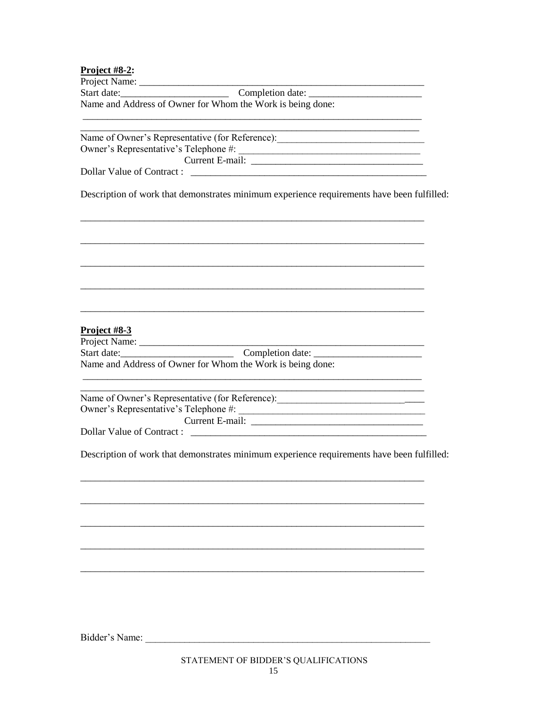# Project  $\#$ 8.2.

| Project #8- $\mathcal{L}$ :                                                                                                                                                                                                  |
|------------------------------------------------------------------------------------------------------------------------------------------------------------------------------------------------------------------------------|
| Start date: Completion date:                                                                                                                                                                                                 |
| Name and Address of Owner for Whom the Work is being done:                                                                                                                                                                   |
|                                                                                                                                                                                                                              |
|                                                                                                                                                                                                                              |
| Name of Owner's Representative (for Reference): ________________________________                                                                                                                                             |
|                                                                                                                                                                                                                              |
|                                                                                                                                                                                                                              |
|                                                                                                                                                                                                                              |
| Description of work that demonstrates minimum experience requirements have been fulfilled:                                                                                                                                   |
|                                                                                                                                                                                                                              |
| Project #8-3                                                                                                                                                                                                                 |
|                                                                                                                                                                                                                              |
|                                                                                                                                                                                                                              |
| Name and Address of Owner for Whom the Work is being done:<br><u> 1989 - Johann Barn, amerikan bernama di sebagai bernama di sebagai bernama di sebagai bernama di sebagai bern</u>                                          |
| <u> 1989 - Johann Barn, mars and de Branch Barn, mars and de Branch Barn, mars and de Branch Barn, mars and de Br</u><br>Name of Owner's Representative (for Reference): ________________________________<br>Current E-mail: |
| Dollar Value of Contract :                                                                                                                                                                                                   |
| Description of work that demonstrates minimum experience requirements have been fulfilled:                                                                                                                                   |
|                                                                                                                                                                                                                              |
|                                                                                                                                                                                                                              |
|                                                                                                                                                                                                                              |
|                                                                                                                                                                                                                              |
|                                                                                                                                                                                                                              |
|                                                                                                                                                                                                                              |
|                                                                                                                                                                                                                              |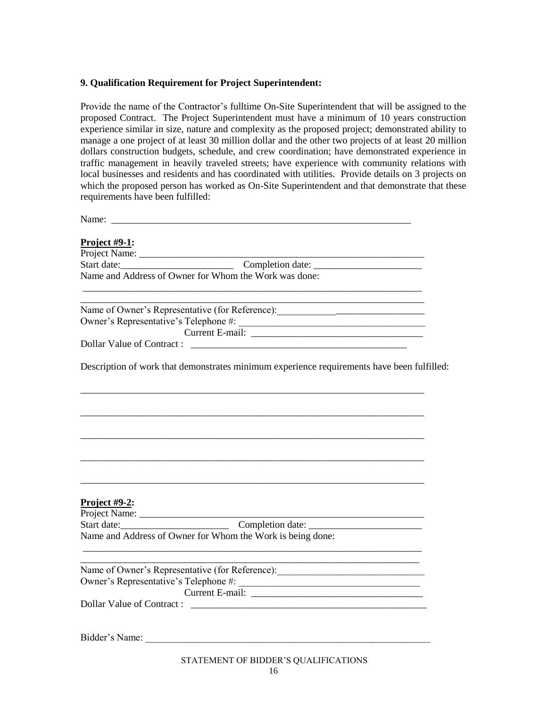#### **9. Qualification Requirement for Project Superintendent:**

Provide the name of the Contractor's fulltime On-Site Superintendent that will be assigned to the proposed Contract. The Project Superintendent must have a minimum of 10 years construction experience similar in size, nature and complexity as the proposed project; demonstrated ability to manage a one project of at least 30 million dollar and the other two projects of at least 20 million dollars construction budgets, schedule, and crew coordination; have demonstrated experience in traffic management in heavily traveled streets; have experience with community relations with local businesses and residents and has coordinated with utilities. Provide details on 3 projects on which the proposed person has worked as On-Site Superintendent and that demonstrate that these requirements have been fulfilled:

| <u>Project #9-1:</u>                                                                       |  |
|--------------------------------------------------------------------------------------------|--|
|                                                                                            |  |
|                                                                                            |  |
|                                                                                            |  |
|                                                                                            |  |
|                                                                                            |  |
|                                                                                            |  |
|                                                                                            |  |
| Description of work that demonstrates minimum experience requirements have been fulfilled: |  |
|                                                                                            |  |
|                                                                                            |  |
|                                                                                            |  |
|                                                                                            |  |
| Project #9-2:                                                                              |  |
|                                                                                            |  |
|                                                                                            |  |
| Name and Address of Owner for Whom the Work is being done:                                 |  |
| Name of Owner's Representative (for Reference): ________________________________           |  |
| Owner's Representative's Telephone #:                                                      |  |
|                                                                                            |  |
|                                                                                            |  |
| Bidder's Name:                                                                             |  |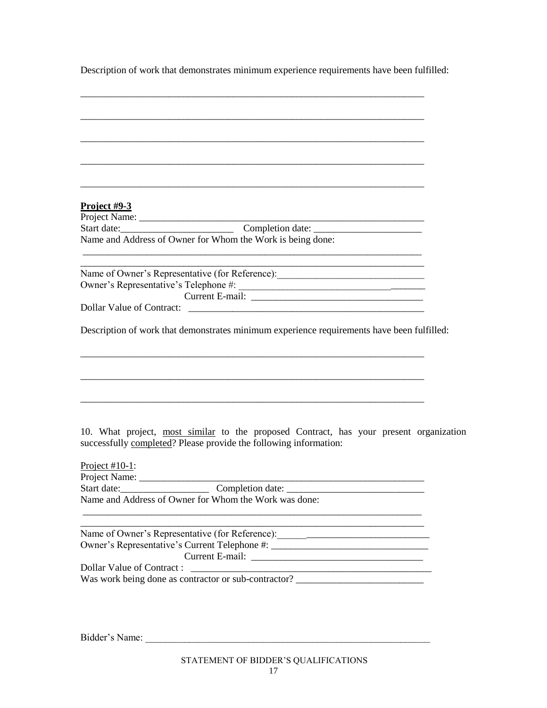Description of work that demonstrates minimum experience requirements have been fulfilled:

| <u>Project #9-3</u>                                                                                                                                         |  |
|-------------------------------------------------------------------------------------------------------------------------------------------------------------|--|
|                                                                                                                                                             |  |
| Start date: Completion date:                                                                                                                                |  |
| Name and Address of Owner for Whom the Work is being done:                                                                                                  |  |
| Name of Owner's Representative (for Reference): ________________________________                                                                            |  |
|                                                                                                                                                             |  |
|                                                                                                                                                             |  |
| Dollar Value of Contract:                                                                                                                                   |  |
| Description of work that demonstrates minimum experience requirements have been fulfilled:                                                                  |  |
|                                                                                                                                                             |  |
|                                                                                                                                                             |  |
|                                                                                                                                                             |  |
|                                                                                                                                                             |  |
|                                                                                                                                                             |  |
| 10. What project, most similar to the proposed Contract, has your present organization<br>successfully completed? Please provide the following information: |  |
| Project $\#10-1$ :                                                                                                                                          |  |
|                                                                                                                                                             |  |
| $\frac{1}{2}$ Completion date: $\frac{1}{2}$<br>Start date:<br>Name and Address of Owner for Whom the Work was done:                                        |  |
|                                                                                                                                                             |  |
| Name of Owner's Representative (for Reference): _________________________________                                                                           |  |
| Owner's Representative's Current Telephone #: __________________________________                                                                            |  |
|                                                                                                                                                             |  |
| Dollar Value of Contract:                                                                                                                                   |  |
| Was work being done as contractor or sub-contractor? ___________________________                                                                            |  |
|                                                                                                                                                             |  |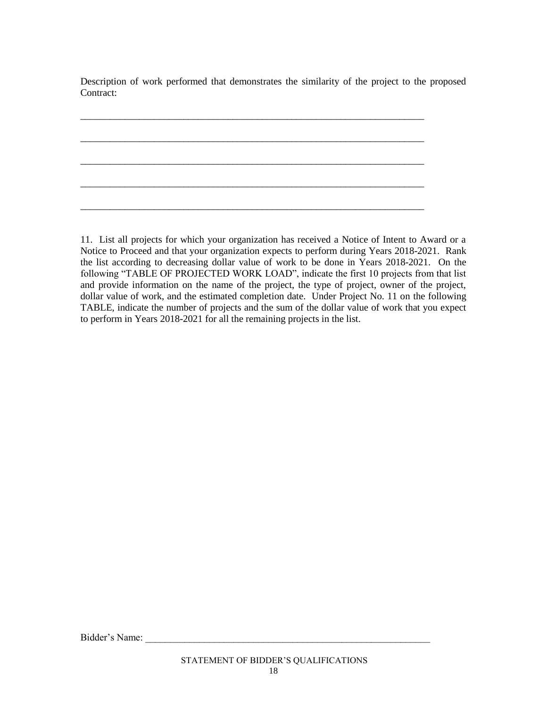Description of work performed that demonstrates the similarity of the project to the proposed Contract:

\_\_\_\_\_\_\_\_\_\_\_\_\_\_\_\_\_\_\_\_\_\_\_\_\_\_\_\_\_\_\_\_\_\_\_\_\_\_\_\_\_\_\_\_\_\_\_\_\_\_\_\_\_\_\_\_\_\_\_\_\_\_\_\_\_\_\_\_\_\_

\_\_\_\_\_\_\_\_\_\_\_\_\_\_\_\_\_\_\_\_\_\_\_\_\_\_\_\_\_\_\_\_\_\_\_\_\_\_\_\_\_\_\_\_\_\_\_\_\_\_\_\_\_\_\_\_\_\_\_\_\_\_\_\_\_\_\_\_\_\_

\_\_\_\_\_\_\_\_\_\_\_\_\_\_\_\_\_\_\_\_\_\_\_\_\_\_\_\_\_\_\_\_\_\_\_\_\_\_\_\_\_\_\_\_\_\_\_\_\_\_\_\_\_\_\_\_\_\_\_\_\_\_\_\_\_\_\_\_\_\_

\_\_\_\_\_\_\_\_\_\_\_\_\_\_\_\_\_\_\_\_\_\_\_\_\_\_\_\_\_\_\_\_\_\_\_\_\_\_\_\_\_\_\_\_\_\_\_\_\_\_\_\_\_\_\_\_\_\_\_\_\_\_\_\_\_\_\_\_\_\_

\_\_\_\_\_\_\_\_\_\_\_\_\_\_\_\_\_\_\_\_\_\_\_\_\_\_\_\_\_\_\_\_\_\_\_\_\_\_\_\_\_\_\_\_\_\_\_\_\_\_\_\_\_\_\_\_\_\_\_\_\_\_\_\_\_\_\_\_\_\_

11. List all projects for which your organization has received a Notice of Intent to Award or a Notice to Proceed and that your organization expects to perform during Years 2018-2021. Rank the list according to decreasing dollar value of work to be done in Years 2018-2021. On the following "TABLE OF PROJECTED WORK LOAD", indicate the first 10 projects from that list and provide information on the name of the project, the type of project, owner of the project, dollar value of work, and the estimated completion date. Under Project No. 11 on the following TABLE, indicate the number of projects and the sum of the dollar value of work that you expect to perform in Years 2018-2021 for all the remaining projects in the list.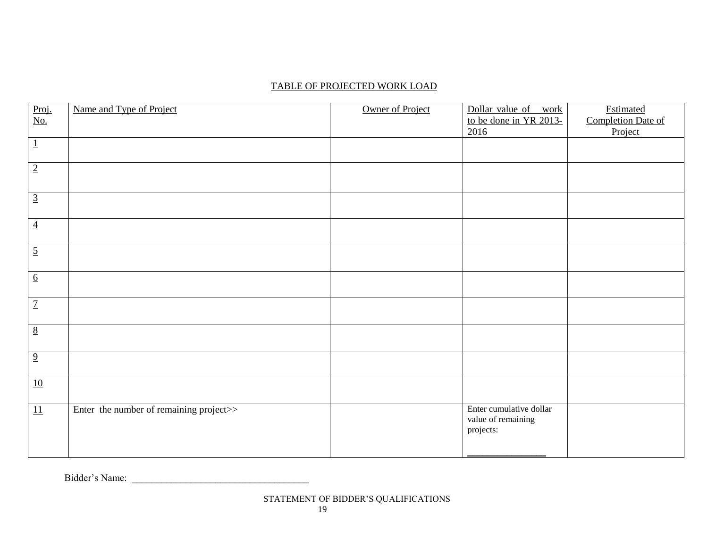## TABLE OF PROJECTED WORK LOAD

| Proj.<br>No.     | Name and Type of Project                | Owner of Project | Dollar value of work                                       | Estimated                     |
|------------------|-----------------------------------------|------------------|------------------------------------------------------------|-------------------------------|
|                  |                                         |                  | to be done in YR 2013-<br>2016                             | Completion Date of<br>Project |
| $\overline{1}$   |                                         |                  |                                                            |                               |
| $\overline{2}$   |                                         |                  |                                                            |                               |
| $\overline{3}$   |                                         |                  |                                                            |                               |
| $\overline{4}$   |                                         |                  |                                                            |                               |
| $\overline{5}$   |                                         |                  |                                                            |                               |
| $\underline{6}$  |                                         |                  |                                                            |                               |
| $\overline{7}$   |                                         |                  |                                                            |                               |
| $\frac{8}{2}$    |                                         |                  |                                                            |                               |
| $\overline{9}$   |                                         |                  |                                                            |                               |
| $\underline{10}$ |                                         |                  |                                                            |                               |
| 11               | Enter the number of remaining project>> |                  | Enter cumulative dollar<br>value of remaining<br>projects: |                               |

Bidder's Name: \_\_\_\_\_\_\_\_\_\_\_\_\_\_\_\_\_\_\_\_\_\_\_\_\_\_\_\_\_\_\_\_\_\_\_\_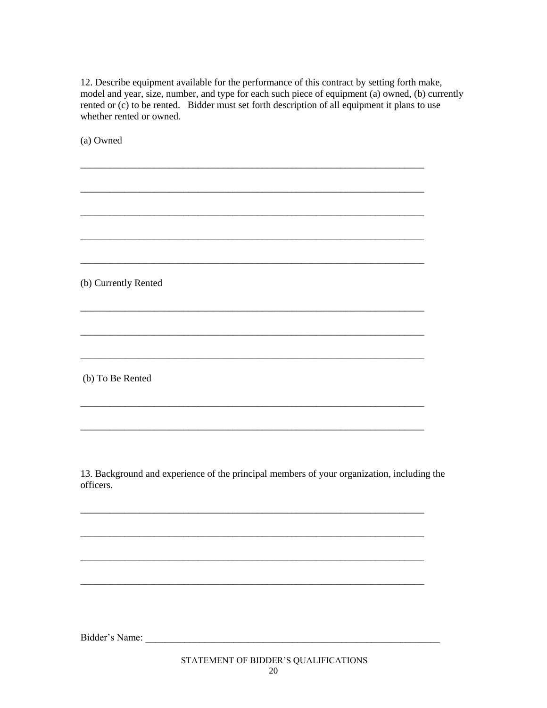12. Describe equipment available for the performance of this contract by setting forth make, model and year, size, number, and type for each such piece of equipment (a) owned, (b) currently rented or (c) to be rented. Bidder must set forth description of all equipment it plans to use whether rented or owned. (a) Owned (b) Currently Rented (b) To Be Rented 13. Background and experience of the principal members of your organization, including the officers. Bidder's Name: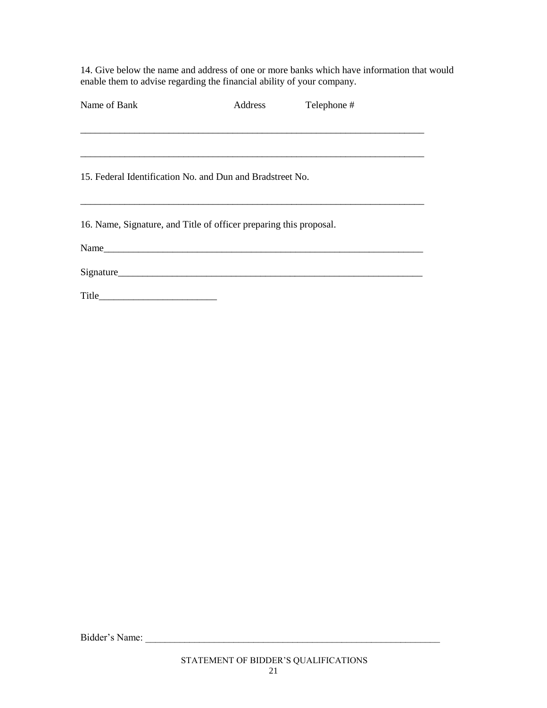14. Give below the name and address of one or more banks which have information that would end them to advise regarding the financial ability of your company.

| Name of Bank                                                       | Address | Telephone # |  |
|--------------------------------------------------------------------|---------|-------------|--|
|                                                                    |         |             |  |
|                                                                    |         |             |  |
| 15. Federal Identification No. and Dun and Bradstreet No.          |         |             |  |
| 16. Name, Signature, and Title of officer preparing this proposal. |         |             |  |
|                                                                    |         |             |  |
|                                                                    |         |             |  |
|                                                                    |         |             |  |

Bidder's Name: \_\_\_\_\_\_\_\_\_\_\_\_\_\_\_\_\_\_\_\_\_\_\_\_\_\_\_\_\_\_\_\_\_\_\_\_\_\_\_\_\_\_\_\_\_\_\_\_\_\_\_\_\_\_\_\_\_\_\_\_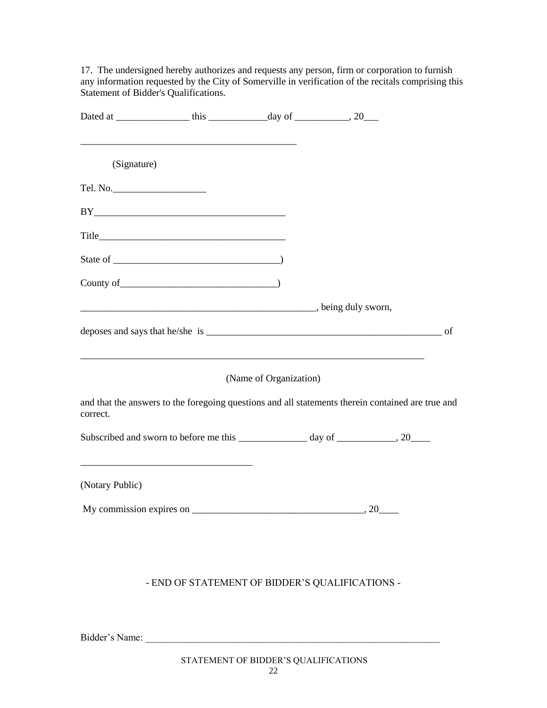17. The undersigned hereby authorizes and requests any person, firm or corporation to furnish any information requested by the City of Somerville in verification of the recitals comprising this Statement of Bidder's Qualifications.

| (Signature)     |                                                                                                   |                        |  |
|-----------------|---------------------------------------------------------------------------------------------------|------------------------|--|
| Tel. No.        |                                                                                                   |                        |  |
|                 | BY                                                                                                |                        |  |
|                 |                                                                                                   |                        |  |
|                 |                                                                                                   |                        |  |
|                 |                                                                                                   |                        |  |
|                 |                                                                                                   |                        |  |
|                 |                                                                                                   |                        |  |
|                 |                                                                                                   | (Name of Organization) |  |
| correct.        | and that the answers to the foregoing questions and all statements therein contained are true and |                        |  |
|                 | Subscribed and sworn to before me this ______________ day of ____________, 20____                 |                        |  |
| (Notary Public) |                                                                                                   |                        |  |
|                 |                                                                                                   |                        |  |
|                 |                                                                                                   |                        |  |
|                 |                                                                                                   |                        |  |
|                 | - END OF STATEMENT OF BIDDER'S QUALIFICATIONS -                                                   |                        |  |

Bidder's Name: \_\_\_\_\_\_\_\_\_\_\_\_\_\_\_\_\_\_\_\_\_\_\_\_\_\_\_\_\_\_\_\_\_\_\_\_\_\_\_\_\_\_\_\_\_\_\_\_\_\_\_\_\_\_\_\_\_\_\_\_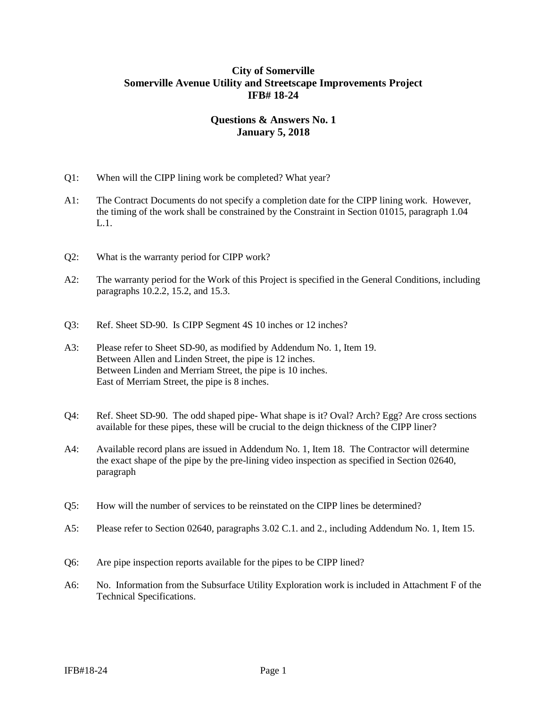## **City of Somerville Somerville Avenue Utility and Streetscape Improvements Project IFB# 18-24**

# **Questions & Answers No. 1 January 5, 2018**

- Q1: When will the CIPP lining work be completed? What year?
- A1: The Contract Documents do not specify a completion date for the CIPP lining work. However, the timing of the work shall be constrained by the Constraint in Section 01015, paragraph 1.04 L.1.
- Q2: What is the warranty period for CIPP work?
- A2: The warranty period for the Work of this Project is specified in the General Conditions, including paragraphs 10.2.2, 15.2, and 15.3.
- Q3: Ref. Sheet SD-90. Is CIPP Segment 4S 10 inches or 12 inches?
- A3: Please refer to Sheet SD-90, as modified by Addendum No. 1, Item 19. Between Allen and Linden Street, the pipe is 12 inches. Between Linden and Merriam Street, the pipe is 10 inches. East of Merriam Street, the pipe is 8 inches.
- Q4: Ref. Sheet SD-90. The odd shaped pipe- What shape is it? Oval? Arch? Egg? Are cross sections available for these pipes, these will be crucial to the deign thickness of the CIPP liner?
- A4: Available record plans are issued in Addendum No. 1, Item 18. The Contractor will determine the exact shape of the pipe by the pre-lining video inspection as specified in Section 02640, paragraph
- Q5: How will the number of services to be reinstated on the CIPP lines be determined?
- A5: Please refer to Section 02640, paragraphs 3.02 C.1. and 2., including Addendum No. 1, Item 15.
- Q6: Are pipe inspection reports available for the pipes to be CIPP lined?
- A6: No. Information from the Subsurface Utility Exploration work is included in Attachment F of the Technical Specifications.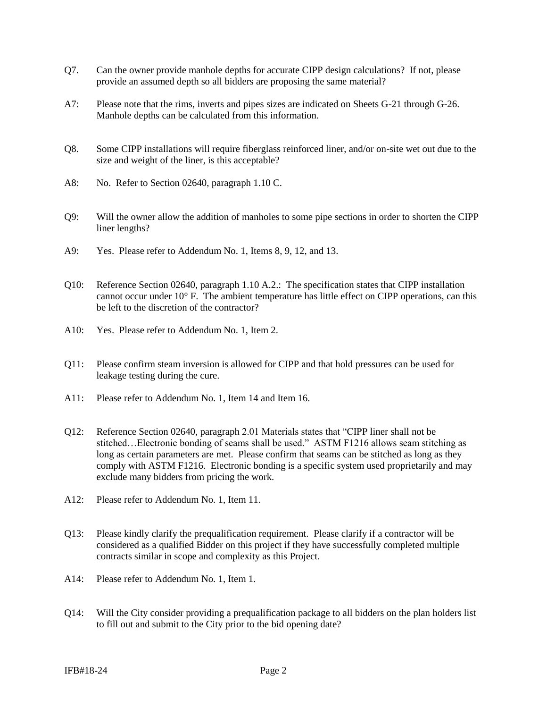- Q7. Can the owner provide manhole depths for accurate CIPP design calculations? If not, please provide an assumed depth so all bidders are proposing the same material?
- A7: Please note that the rims, inverts and pipes sizes are indicated on Sheets G-21 through G-26. Manhole depths can be calculated from this information.
- Q8. Some CIPP installations will require fiberglass reinforced liner, and/or on-site wet out due to the size and weight of the liner, is this acceptable?
- A8: No. Refer to Section 02640, paragraph 1.10 C.
- Q9: Will the owner allow the addition of manholes to some pipe sections in order to shorten the CIPP liner lengths?
- A9: Yes. Please refer to Addendum No. 1, Items 8, 9, 12, and 13.
- Q10: Reference Section 02640, paragraph 1.10 A.2.: The specification states that CIPP installation cannot occur under 10° F. The ambient temperature has little effect on CIPP operations, can this be left to the discretion of the contractor?
- A10: Yes. Please refer to Addendum No. 1, Item 2.
- Q11: Please confirm steam inversion is allowed for CIPP and that hold pressures can be used for leakage testing during the cure.
- A11: Please refer to Addendum No. 1, Item 14 and Item 16.
- Q12: Reference Section 02640, paragraph 2.01 Materials states that "CIPP liner shall not be stitched…Electronic bonding of seams shall be used." ASTM F1216 allows seam stitching as long as certain parameters are met. Please confirm that seams can be stitched as long as they comply with ASTM F1216. Electronic bonding is a specific system used proprietarily and may exclude many bidders from pricing the work.
- A12: Please refer to Addendum No. 1, Item 11.
- Q13: Please kindly clarify the prequalification requirement. Please clarify if a contractor will be considered as a qualified Bidder on this project if they have successfully completed multiple contracts similar in scope and complexity as this Project.
- A14: Please refer to Addendum No. 1, Item 1.
- Q14: Will the City consider providing a prequalification package to all bidders on the plan holders list to fill out and submit to the City prior to the bid opening date?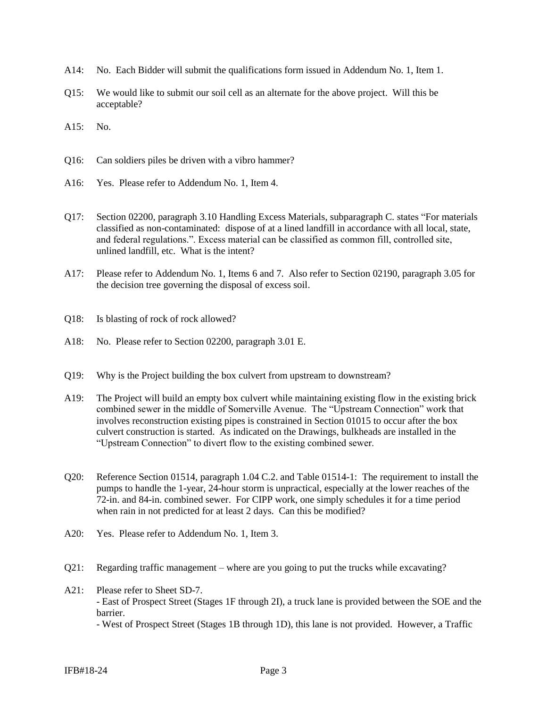- A14: No. Each Bidder will submit the qualifications form issued in Addendum No. 1, Item 1.
- Q15: We would like to submit our soil cell as an alternate for the above project. Will this be acceptable?

A15: No.

- Q16: Can soldiers piles be driven with a vibro hammer?
- A16: Yes. Please refer to Addendum No. 1, Item 4.
- Q17: Section 02200, paragraph 3.10 Handling Excess Materials, subparagraph C. states "For materials classified as non-contaminated: dispose of at a lined landfill in accordance with all local, state, and federal regulations.". Excess material can be classified as common fill, controlled site, unlined landfill, etc. What is the intent?
- A17: Please refer to Addendum No. 1, Items 6 and 7. Also refer to Section 02190, paragraph 3.05 for the decision tree governing the disposal of excess soil.
- Q18: Is blasting of rock of rock allowed?
- A18: No. Please refer to Section 02200, paragraph 3.01 E.
- Q19: Why is the Project building the box culvert from upstream to downstream?
- A19: The Project will build an empty box culvert while maintaining existing flow in the existing brick combined sewer in the middle of Somerville Avenue. The "Upstream Connection" work that involves reconstruction existing pipes is constrained in Section 01015 to occur after the box culvert construction is started. As indicated on the Drawings, bulkheads are installed in the "Upstream Connection" to divert flow to the existing combined sewer.
- Q20: Reference Section 01514, paragraph 1.04 C.2. and Table 01514-1: The requirement to install the pumps to handle the 1-year, 24-hour storm is unpractical, especially at the lower reaches of the 72-in. and 84-in. combined sewer. For CIPP work, one simply schedules it for a time period when rain in not predicted for at least 2 days. Can this be modified?
- A20: Yes. Please refer to Addendum No. 1, Item 3.
- Q21: Regarding traffic management where are you going to put the trucks while excavating?
- A<sub>21</sub>: Please refer to Sheet S<sub>D</sub>-7. - East of Prospect Street (Stages 1F through 2I), a truck lane is provided between the SOE and the barrier. - West of Prospect Street (Stages 1B through 1D), this lane is not provided. However, a Traffic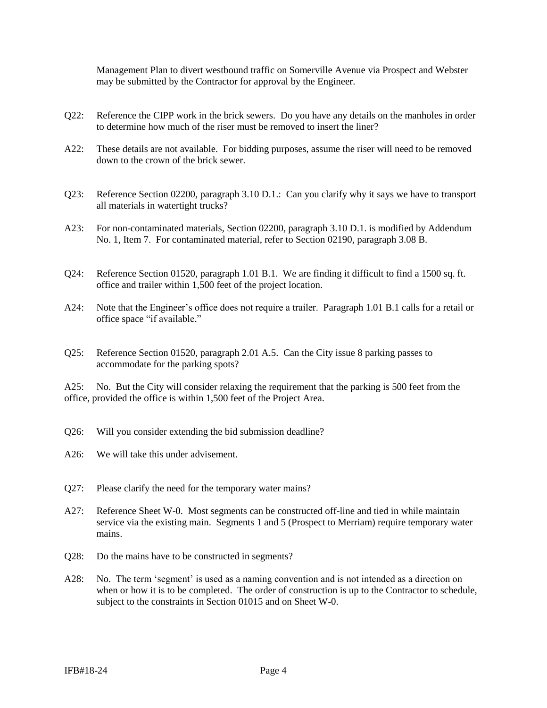Management Plan to divert westbound traffic on Somerville Avenue via Prospect and Webster may be submitted by the Contractor for approval by the Engineer.

- Q22: Reference the CIPP work in the brick sewers. Do you have any details on the manholes in order to determine how much of the riser must be removed to insert the liner?
- A22: These details are not available. For bidding purposes, assume the riser will need to be removed down to the crown of the brick sewer.
- Q23: Reference Section 02200, paragraph 3.10 D.1.: Can you clarify why it says we have to transport all materials in watertight trucks?
- A23: For non-contaminated materials, Section 02200, paragraph 3.10 D.1. is modified by Addendum No. 1, Item 7. For contaminated material, refer to Section 02190, paragraph 3.08 B.
- Q24: Reference Section 01520, paragraph 1.01 B.1. We are finding it difficult to find a 1500 sq. ft. office and trailer within 1,500 feet of the project location.
- A24: Note that the Engineer's office does not require a trailer. Paragraph 1.01 B.1 calls for a retail or office space "if available."
- Q25: Reference Section 01520, paragraph 2.01 A.5. Can the City issue 8 parking passes to accommodate for the parking spots?

A25: No. But the City will consider relaxing the requirement that the parking is 500 feet from the office, provided the office is within 1,500 feet of the Project Area.

- Q26: Will you consider extending the bid submission deadline?
- A26: We will take this under advisement.
- Q27: Please clarify the need for the temporary water mains?
- A27: Reference Sheet W-0. Most segments can be constructed off-line and tied in while maintain service via the existing main. Segments 1 and 5 (Prospect to Merriam) require temporary water mains.
- Q28: Do the mains have to be constructed in segments?
- A28: No. The term 'segment' is used as a naming convention and is not intended as a direction on when or how it is to be completed. The order of construction is up to the Contractor to schedule, subject to the constraints in Section 01015 and on Sheet W-0.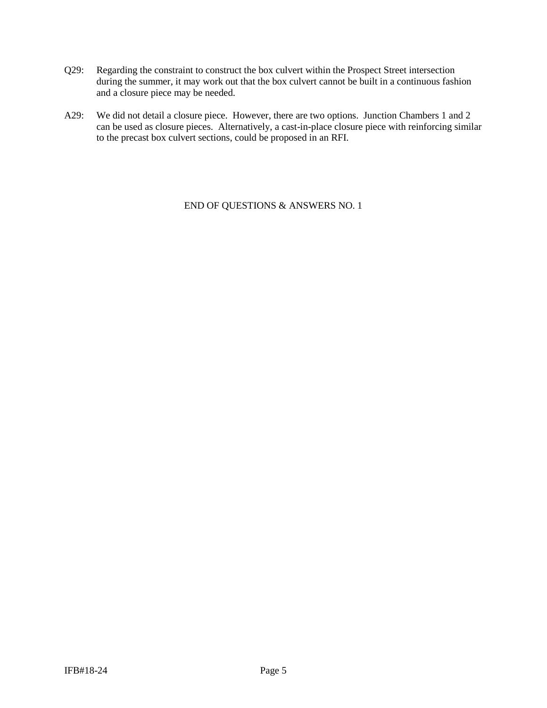- Q29: Regarding the constraint to construct the box culvert within the Prospect Street intersection during the summer, it may work out that the box culvert cannot be built in a continuous fashion and a closure piece may be needed.
- A29: We did not detail a closure piece. However, there are two options. Junction Chambers 1 and 2 can be used as closure pieces. Alternatively, a cast-in-place closure piece with reinforcing similar to the precast box culvert sections, could be proposed in an RFI.

END OF QUESTIONS & ANSWERS NO. 1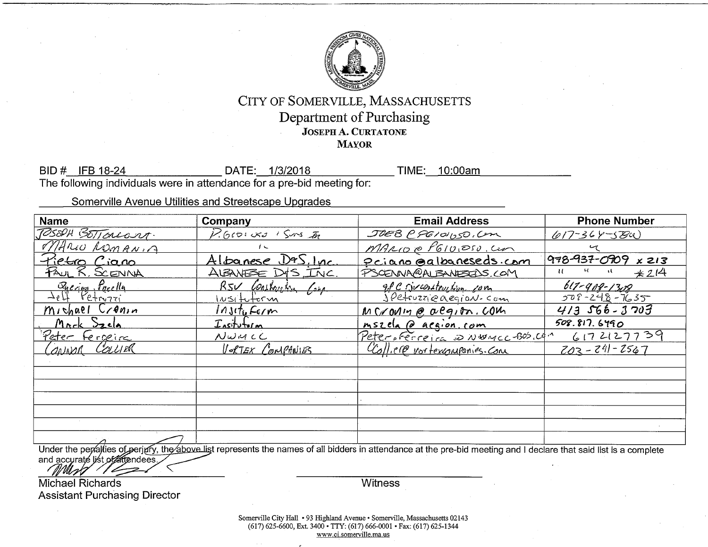

# CITY OF SOMERVILLE, MASSACHUSETTS Department of Purchasing **JOSEPH A. CURTATONE MAYOR**

BID # IFB 18-24 DATE: 1/3/2018 TIME: 10:00am The following individuals were in attendance for a pre-bid meeting for:

Somerville Avenue Utilities and Streetscape Upgrades

| <b>Name</b>                                    | Company                      | <b>Email Address</b>                                                                                                                                               | <b>Phone Number</b> |
|------------------------------------------------|------------------------------|--------------------------------------------------------------------------------------------------------------------------------------------------------------------|---------------------|
| JOSEPH BETTONCOURT.                            | P.GIDIUKO I SUNS IN          | JOEB CPGIOUSO, COM                                                                                                                                                 | $617 - 364 - 584$   |
| MARIO ROMANIA                                  | $\mathfrak{c}$               | MARIO @ P610,050.Cm                                                                                                                                                |                     |
| Pietro Ciano                                   | <u>Albanese D&amp;S.Inc.</u> | <u>Priano Galbaneseds com</u>                                                                                                                                      | 978-937-0909 x 213  |
| <u>FAUL R. SCENNA</u>                          | ALBANESE DIS INC.            | PSCENNA@ALBANESELS.COM                                                                                                                                             | u<br>$*214$         |
| Quering Puccllu                                | RSV Constaveton Comp         | 98 C sinceratorshipm com                                                                                                                                           | $617 - 909 - 1309$  |
| $\overline{\Delta_{e}}\overline{\mu}$ Petrozzi | $1\nu$ situtorm              | JPetruzzieaegion-com                                                                                                                                               | $308 - 248 - 7635$  |
| Michael Cranin                                 | $Instr_{6}F_{6}$ /m          | MCrovin @ acqion.com                                                                                                                                               | $413566 - 3703$     |
| Mark Szela                                     | Insitutorm                   | <u>mszela @ aegion.com</u>                                                                                                                                         | 508.817.6490        |
| Peter Fergeire                                 | $N$ WMCC                     | Peter sferreira as NWMCC 805.001                                                                                                                                   | 6172127739          |
| ONNOR COLLIER                                  | <u>VORTEX COMPANIES</u>      | Colliere vortexenupanies. Com                                                                                                                                      | $203 - 241 - 2567$  |
|                                                |                              |                                                                                                                                                                    |                     |
|                                                |                              |                                                                                                                                                                    |                     |
|                                                |                              |                                                                                                                                                                    |                     |
|                                                |                              |                                                                                                                                                                    |                     |
|                                                |                              |                                                                                                                                                                    |                     |
|                                                |                              |                                                                                                                                                                    |                     |
|                                                |                              | Under the negotian of particular the observation test represents the names of all hiddens in ottandance of the security assessed to be the fact that $\frac{1}{2}$ |                     |

Under the peralties of perjury, the above list represents the names of all bidders in attendance at the pre-bid meeting and I declare that said list is a complete and accurate list of attendees.

**Michael Richards Assistant Purchasing Director** 

**Witness**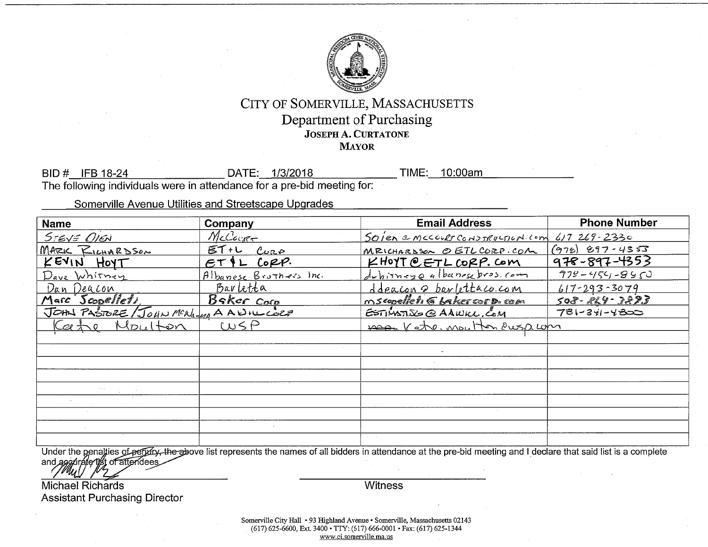

# CITY OF SOMERVILLE, MASSACHUSETTS Department of Purchasing **JOSEPH A. CURTATONE MAYOR**

BID # IFB 18-24 DATE: 1/3/2018 TIME: 10:00am The following individuals were in attendance for a pre-bid meeting for:

Somerville Avenue Utilities and Streetscape Upgrades

| <b>Name</b>                         | Company                        | <b>Email Address</b>                | <b>Phone Number</b> |
|-------------------------------------|--------------------------------|-------------------------------------|---------------------|
| STEVE OIEN                          | McCourt                        | Soien emccourt construction com     | $617269 - 2330$     |
| MARIC RILHARDSON                    | $ET+L$<br>$C_{\nu\mathcal{R}}$ | MRICHARDSON O ETL CORP.COM          | $(976)$ 897-4353    |
| KEVIN HOYT                          | $PL$ Copp.<br>ET               | $K$ Hoyt $O$ ETL CORP. Com          | $978 - 897 - 4353$  |
| Dave Whitney                        | Albanese Brothers Inc.         | dubirneye albanese bros. com        | $778 - 454 - 855$   |
| Dan Deacon                          | Barletta                       | <u>ddeacon a barlettaco.com</u>     | $617 - 293 - 3079$  |
| Marc Scopellets                     | Baker Corp                     | nscopelleti G LakercorD.com         | 508-824-3873        |
| JOHN PASIBRE/JOHN MCNAMA A ANILLOCE |                                | $ETINXDE$ $Q$ $AAWKL$ , $C_0M$      | $781 - 341 - 4800$  |
| Kathe Moulton                       | WSP                            | <u>MAAN Kate, MOLL Hon Pusp Lom</u> |                     |
|                                     |                                |                                     |                     |
|                                     |                                |                                     |                     |
|                                     |                                |                                     |                     |
|                                     |                                |                                     |                     |
|                                     |                                |                                     |                     |
|                                     |                                |                                     |                     |
|                                     |                                |                                     |                     |
|                                     |                                |                                     |                     |
|                                     |                                |                                     |                     |

Under the penalties of peridicy, the above list represents the names of all bidders in attendance at the pre-bid meeting and I declare that said list is a complete<br>and agg/urate/1st of attendees

Michael Richards **Assistant Purchasing Director**  **Witness** 

Somerville City Hall • 93 Highland Avenue • Somerville, Massachusetts 02143 (617) 625-6600, Ext. 3400 • TTY: (617) 666-0001 • Fax: (617) 625-1344 www.ci.somerville.ma.us